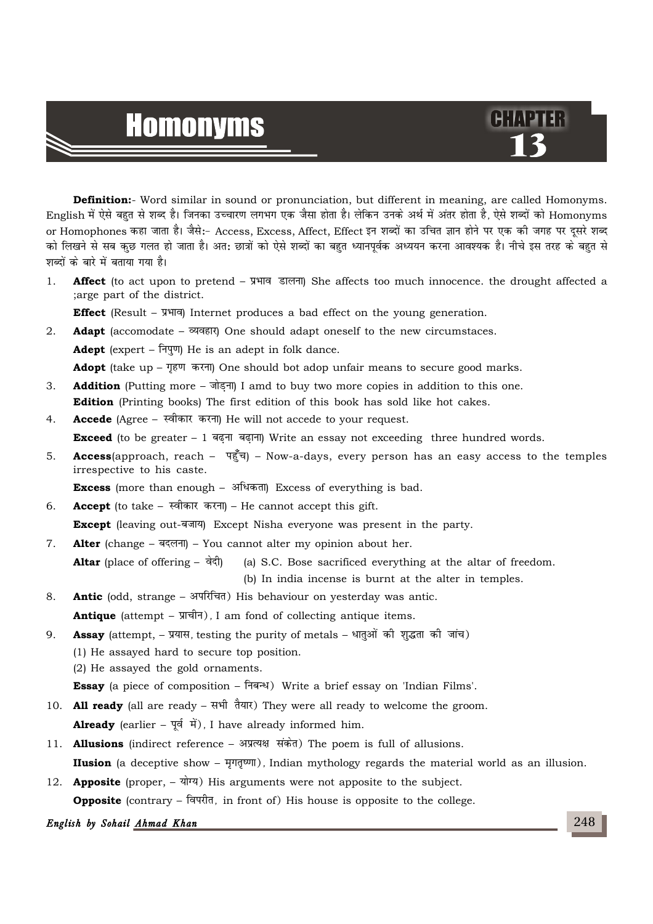# **Homonyms**



**Definition:**- Word similar in sound or pronunciation, but different in meaning, are called Homonyms. English में ऐसे बहुत से शब्द है। जिनका उच्चारण लगभग एक जैसा होता है। लेकिन उनके अर्थ में अंतर होता है, ऐसे शब्दों को Homonyms or Homophones कहा जाता है। जैसे:- Access, Excess, Affect, Effect इन शब्दों का उचित ज्ञान होने पर एक की जगह पर दुसरे शब्द को लिखने से सब कुछ गलत हो जाता है। अत: छात्रों को ऐसे शब्दों का बहुत ध्यानपूर्वक अध्ययन करना आवश्यक है। नीचे इस तरह के बहुत से ' शब्दों के बारे में बताया गया है।

1. **Affect** (to act upon to pretend – प्रभाव डालना) She affects too much innocence. the drought affected a ;arge part of the district.

Effect (Result – प्रभाव) Internet produces a bad effect on the young generation.

- 2. **Adapt** (accomodate **O; ogkj**) One should adapt oneself to the new circumstaces. Adept (expert –  $\overline{H}$ ,  $\overline{H}$ ) He is an adept in folk dance. Adopt (take up – गृहण करना) One should bot adop unfair means to secure good marks.
- 3. **Addition** (Putting more जोड़ना) I amd to buy two more copies in addition to this one. **Edition** (Printing books) The first edition of this book has sold like hot cakes.
- 4. **Accede** (Agree स्वीकार करना) He will not accede to your request. **Exceed** (to be greater – 1 बढ़ना बढ़ाना) Write an essay not exceeding three hundred words.
- 5. **Access** (approach, reach पहुँच) Now-a-days, every person has an easy access to the temples irrespective to his caste.

Excess (more than enough - अधिकता) Excess of everything is bad.

6. **Accept** (to take – स्वीकार करना) – He cannot accept this gift.

Except (leaving out-बजाय) Except Nisha everyone was present in the party.

7. **Alter** (change – बदलना) – You cannot alter my opinion about her. Altar (place of offering – वेदी) (a) S.C. Bose sacrificed everything at the altar of freedom.

(b) In india incense is burnt at the alter in temples.

- 8. **Antic** (odd, strange **vi fjfpr)** His behaviour on yesterday was antic. Antique (attempt – प्राचीन), I am fond of collecting antique items.
- 9. **Assay** (attempt, प्रयास, testing the purity of metals धातुओं की शुद्धता की जांच)
	- (1) He assayed hard to secure top position.
	- (2) He assayed the gold ornaments.

Essay (a piece of composition – निबन्ध) Write a brief essay on 'Indian Films'.

- 10. **All ready** (all are ready सभी तैयार) They were all ready to welcome the groom. Already (earlier – पूर्व में), I have already informed him.
- 11. **Allusions** (indirect reference अप्रत्यक्ष संकेत) The poem is full of allusions. Ilusion (a deceptive show – मुगतुष्णा). Indian mythology regards the material world as an illusion.
- 12. **Apposite** (proper, योग्य) His arguments were not apposite to the subject. **Opposite** (contrary – विपरीत, in front of) His house is opposite to the college.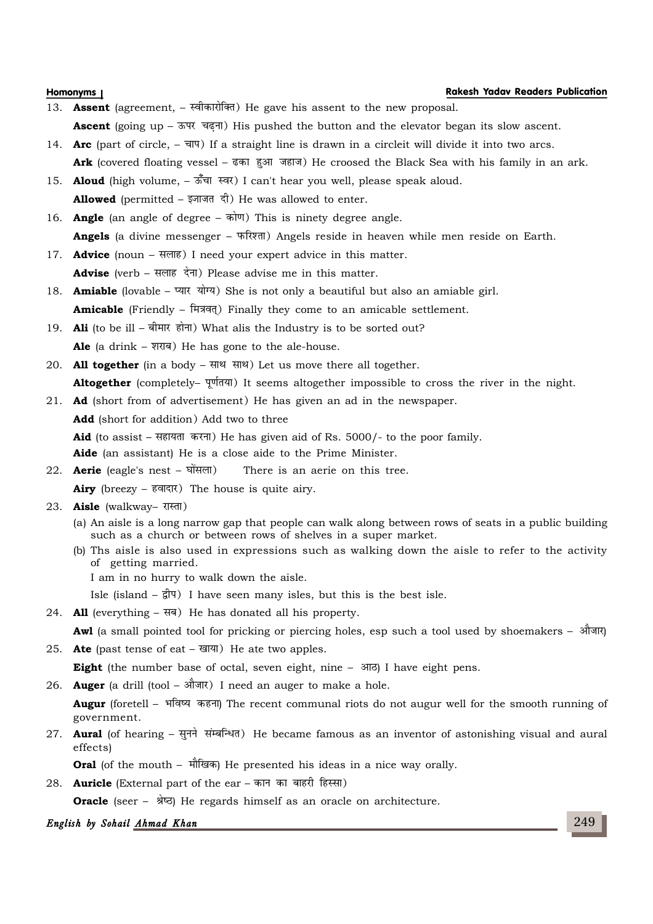- 13. **Assent** (agreement, स्वीकारोक्ति) He gave his assent to the new proposal. Ascent (going up – ऊपर चढ़ना) His pushed the button and the elevator began its slow ascent.
- 14. **Arc** (part of circle, **pki )** If a straight line is drawn in a circleit will divide it into two arcs. Ark (covered floating vessel – ढका हुआ जहाज) He croosed the Black Sea with his family in an ark.
- 15. **Aloud** (high volume,  $-\overrightarrow{\sigma}$ चा स्वर) I can't hear you well, please speak aloud. Allowed (permitted – इजाजत दी) He was allowed to enter.
- 16. **Angle** (an angle of degree कोण) This is ninety degree angle. Angels (a divine messenger – फरिश्ता) Angels reside in heaven while men reside on Earth.
- 17. **Advice** (noun सलाह) I need your expert advice in this matter. Advise (verb – सलाह देना) Please advise me in this matter.
- 18. **Amiable** (lovable  $\overline{u}$ ) She is not only a beautiful but also an amiable girl. Amicable (Friendly – मित्रवत्) Finally they come to an amicable settlement.
- 19. **Ali** (to be ill बीमार होना) What alis the Industry is to be sorted out? Ale (a drink – शराब) He has gone to the ale-house.
- 20. **All together** (in a body साथ साथ) Let us move there all together. Altogether (completely– पूर्णतया) It seems altogether impossible to cross the river in the night.
- 21. **Ad** (short from of advertisement**)** He has given an ad in the newspaper. **Add** (short for addition**)** Add two to three Aid (to assist – सहायता करना) He has given aid of Rs. 5000/- to the poor family.

**Aide** (an assistant) He is a close aide to the Prime Minister.

22. **Aerie** (eagle's nest – घोंसला) There is an aerie on this tree.

**Airy** (breezy – **goknkj)** The house is quite airy.

- 23. **Aisle** (walkway– रास्ता)
	- (a) An aisle is a long narrow gap that people can walk along between rows of seats in a public building such as a church or between rows of shelves in a super market.
	- (b) Ths aisle is also used in expressions such as walking down the aisle to refer to the activity of getting married.

I am in no hurry to walk down the aisle.

Isle (island  $-\overline{\mathfrak{gl}}(1)$  I have seen many isles, but this is the best isle.

24. **All** (everything – सब) He has donated all his property.

Awl (a small pointed tool for pricking or piercing holes, esp such a tool used by shoemakers – औजार)

25. **Ate** (past tense of eat  $\overline{a}$ ) **He** ate two apples.

**Eight** (the number base of octal, seven eight, nine  $\theta$ B) I have eight pens.

26. **Auger** (a drill (tool – औजार) I need an auger to make a hole.

Augur (foretell – भविष्य कहना) The recent communal riots do not augur well for the smooth running of government.

27. **Aural** (of hearing – सुनने संम्बन्धित) He became famous as an inventor of astonishing visual and aural effects)

**Oral** (of the mouth – मौखिक) He presented his ideas in a nice way orally.

28. **Auricle** (External part of the ear – कान का बाहरी हिस्सा)

**Oracle** (seer – श्रेष्ठ) He regards himself as an oracle on architecture.

# **English by Sohail Ahmad Khan**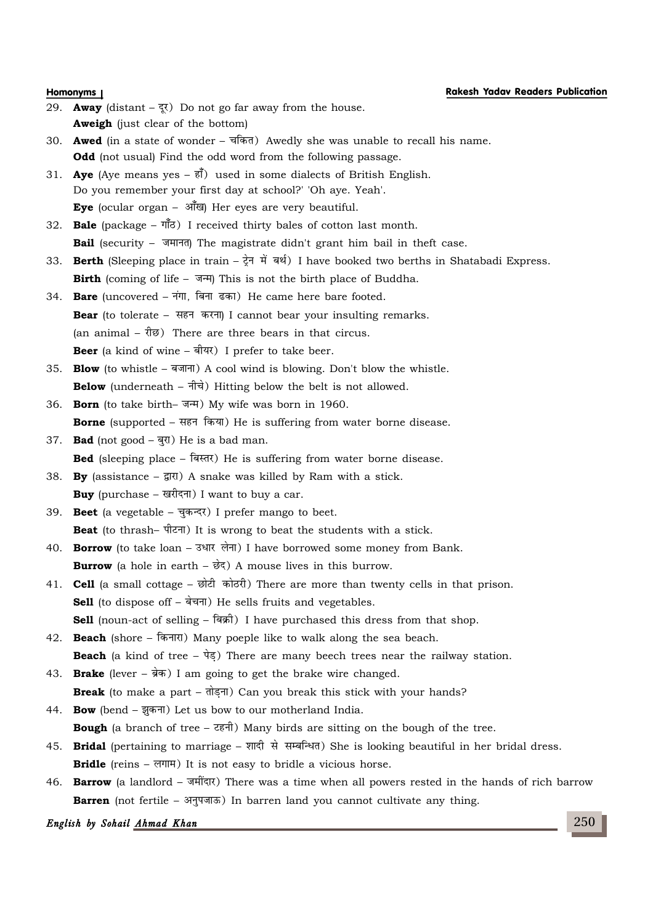- 29. **Away** (distant  $-\overline{\xi}$ ) Do not go far away from the house. **Aweigh** (just clear of the bottom)
- 30. **Awed** (in a state of wonder चकित) Awedly she was unable to recall his name. **Odd** (not usual) Find the odd word from the following passage.
- 31. **Aye** (Aye means yes  $-\vec{\sigma}$ ) used in some dialects of British English. Do you remember your first day at school?' 'Oh aye. Yeah'. Eye (ocular organ – आँख) Her eyes are very beautiful.
- 32. **Bale** (package  $\vec{w}$ ) I received thirty bales of cotton last month. Bail (security – जमानत) The magistrate didn't grant him bail in theft case.
- 33. **Berth** (Sleeping place in train टेन में बर्थ) I have booked two berths in Shatabadi Express. Birth (coming of life – जन्म) This is not the birth place of Buddha.
- 34. **Bare** (uncovered नंगा, बिना ढका) He came here bare footed. Bear (to tolerate – सहन करना) I cannot bear your insulting remarks. (an animal – रीछ) There are three bears in that circus. **Beer** (a kind of wine – **ch; j)** I prefer to take beer.
- 35. **Blow** (to whistle बजाना) A cool wind is blowing. Don't blow the whistle. **Below** (underneath  $\overrightarrow{\pi}$ ) Hitting below the belt is not allowed.
- 36. **Born** (to take birth– जन्म) My wife was born in 1960. Borne (supported – सहन किया) He is suffering from water borne disease.
- 37. **Bad** (not good  $-\overline{q}$ ) He is a bad man. **Bed** (sleeping place – बिस्तर) He is suffering from water borne disease.
- 38. **By** (assistance  $\overline{g}(\overline{x})$ ) A snake was killed by Ram with a stick. **Buy** (purchase – खरीदना) I want to buy a car.
- 39. **Beet** (a vegetable चुकन्दर) I prefer mango to beet. Beat (to thrash– पीटना) It is wrong to beat the students with a stick.
- 40. **Borrow** (to take loan उधार लेना) I have borrowed some money from Bank. **Burrow** (a hole in earth  $-\vec{\mathcal{B}}\vec{\mathcal{B}}$ ) A mouse lives in this burrow.
- 41. **Cell** (a small cottage छोटी कोठरी) There are more than twenty cells in that prison. Sell (to dispose off – बेचना) He sells fruits and vegetables. Sell (noun-act of selling – बिक्री) I have purchased this dress from that shop.
- 42. **Beach** (shore किनारा) Many poeple like to walk along the sea beach. **Beach** (a kind of tree  $-\dot{\mathbf{z}}$ ) There are many beech trees near the railway station.
- 43. **Brake** (lever  $-\frac{1}{9}\overline{a}$ ) I am going to get the brake wire changed. **Break** (to make a part – तोड़ना) Can you break this stick with your hands?
- 44. **Bow** (bend झुकना) Let us bow to our motherland India. Bough (a branch of tree – टहनी) Many birds are sitting on the bough of the tree. 45. **Bridal** (pertaining to marriage – शादी से सम्बन्धित) She is looking beautiful in her bridal dress.

Bridle (reins – लगाम) It is not easy to bridle a vicious horse.

46. **Barrow** (a landlord – **t ehankj)** There was a time when all powers rested in the hands of rich barrow **Barren** (not fertile – अनुपजाऊ) In barren land you cannot cultivate any thing.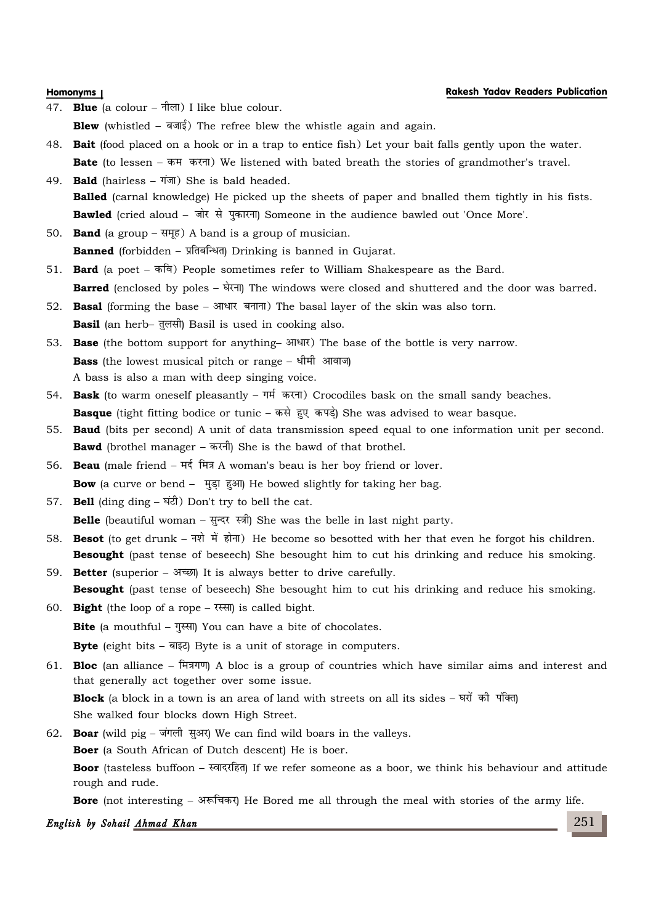47. **Blue** (a colour – **uhyk)** I like blue colour.

**Blew** (whistled –  $\overline{\alpha}$ ) The refree blew the whistle again and again.

- 48. **Bait** (food placed on a hook or in a trap to entice fish**)** Let your bait falls gently upon the water. Bate (to lessen – कम करना) We listened with bated breath the stories of grandmother's travel.
- 49. **Bald** (hairless गंजा) She is bald headed. **Balled** (carnal knowledge) He picked up the sheets of paper and bnalled them tightly in his fists. Bawled (cried aloud – जोर से पुकारना) Someone in the audience bawled out 'Once More'.
- 50. **Band** (a group  $\overline{H}(\overline{g})$  A band is a group of musician. Banned (forbidden - प्रतिबन्धित) Drinking is banned in Gujarat.
- 51. **Bard** (a poet **dfo)** People sometimes refer to William Shakespeare as the Bard. **Barred** (enclosed by poles – घेरना) The windows were closed and shuttered and the door was barred.
- 52. **Basal** (forming the base आधार बनाना) The basal layer of the skin was also torn. **Basil** (an herb– तुलसी) Basil is used in cooking also.
- 53. **Base** (the bottom support for anything– **vk/ kj)** The base of the bottle is very narrow. Bass (the lowest musical pitch or range – धीमी आवाज) A bass is also a man with deep singing voice.
- 54. **Bask** (to warm oneself pleasantly गर्म करना) Crocodiles bask on the small sandy beaches. Basque (tight fitting bodice or tunic – कसे हुए कपड़े) She was advised to wear basque.
- 55. **Baud** (bits per second) A unit of data transmission speed equal to one information unit per second. Bawd (brothel manager – करनी) She is the bawd of that brothel.
- 56. **Beau** (male friend  $H\{\overline{x}\}$  A woman's beau is her boy friend or lover. **Bow** (a curve or bend – मुड़ा हुआ) He bowed slightly for taking her bag.
- 57. **Bell** (ding ding घंटी) Don't try to bell the cat. **Belle** (beautiful woman – सुन्दर स्त्री) She was the belle in last night party.
- 58. **Besot** (to get drunk नशे में होना) He become so besotted with her that even he forgot his children. **Besought** (past tense of beseech) She besought him to cut his drinking and reduce his smoking.
- 59. **Better** (superior अच्छा) It is always better to drive carefully. **Besought** (past tense of beseech) She besought him to cut his drinking and reduce his smoking.
- 60. **Bight** (the loop of a rope  $\overline{k}$ , is called bight.

**Bite** (a mouthful – गुस्सा) You can have a bite of chocolates.

**Byte** (eight bits – बाइट) Byte is a unit of storage in computers.

61. **Bloc** (an alliance – मित्रगण) A bloc is a group of countries which have similar aims and interest and that generally act together over some issue.

Block (a block in a town is an area of land with streets on all its sides – घरों की पंक्ति) She walked four blocks down High Street.

62. **Boar** (wild pig – जंगली सुअर) We can find wild boars in the valleys.

**Boer** (a South African of Dutch descent) He is boer.

**Boor** (tasteless buffoon – **Loknjfgr**) If we refer someone as a boor, we think his behaviour and attitude rough and rude.

**Bore** (not interesting – **v: fpdj**) He Bored me all through the meal with stories of the army life.

### **English by Sohail Ahmad Khan**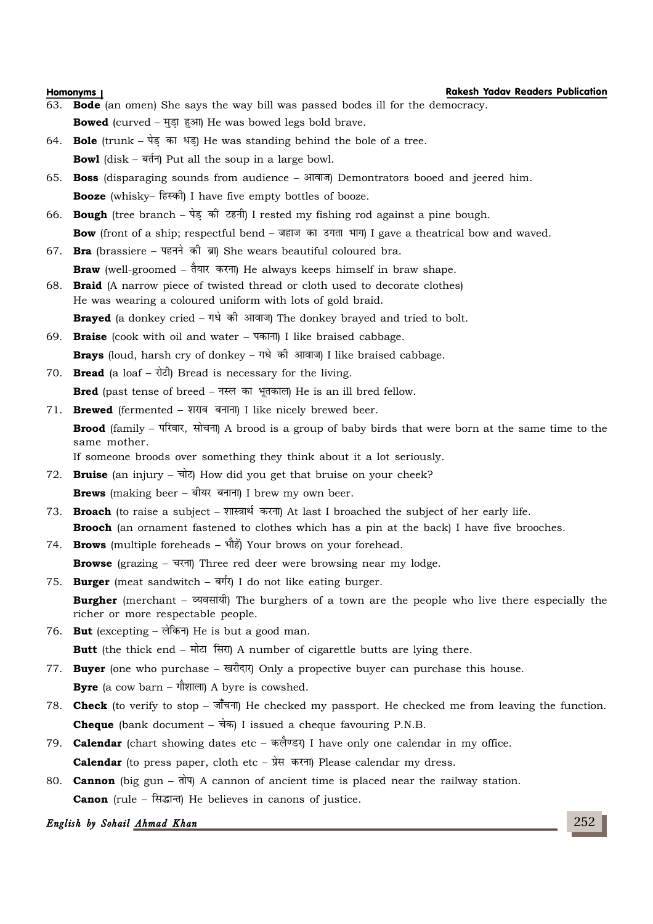- 63. **Bode** (an omen) She says the way bill was passed bodes ill for the democracy. **Bowed** (curved – मुड़ा हुआ) He was bowed legs bold brave.
- 64. **Bole** (trunk पेड का धड़) He was standing behind the bole of a tree. Bowl (disk – बर्तन) Put all the soup in a large bowl.
- 65. **Boss** (disparaging sounds from audience **vkokt** ) Demontrators booed and jeered him. **Booze** (whisky– हिस्की) I have five empty bottles of booze.
- 66. **Bough** (tree branch पेड़ की टहनी) I rested my fishing rod against a pine bough. Bow (front of a ship; respectful bend – जहाज का उगता भाग) I gave a theatrical bow and waved.
- 67. **Bra** (brassiere पहनने की ब्रा) She wears beautiful coloured bra. Braw (well-groomed – तैयार करना) He always keeps himself in braw shape.
- 68. **Braid** (A narrow piece of twisted thread or cloth used to decorate clothes) He was wearing a coloured uniform with lots of gold braid. Brayed (a donkey cried – गधे की आवाज) The donkey brayed and tried to bolt.
- 69. **Braise** (cook with oil and water पकाना) I like braised cabbage. **Brays** (loud, harsh cry of donkey – गधे की आवाज) I like braised cabbage.
- 70. **Bread** (a loaf  $\vec{\theta}$ ) Bread is necessary for the living.

Bred (past tense of breed – नस्ल का भूतकाल) He is an ill bred fellow.

- 71. **Brewed** (fermented शराब बनाना) I like nicely brewed beer. **Brood** (family – परिवार, सोचना) A brood is a group of baby birds that were born at the same time to the same mother. If someone broods over something they think about it a lot seriously.
- 72. **Bruise** (an injury चोट) How did you get that bruise on your cheek? Brews (making beer - बीयर बनाना) I brew my own beer.
- 73. **Broach** (to raise a subject शास्त्रार्थ करना) At last I broached the subject of her early life. **Brooch** (an ornament fastened to clothes which has a pin at the back) I have five brooches.
- 74. **Brows** (multiple foreheads भौहें) Your brows on your forehead. **Browse** (grazing – चरना) Three red deer were browsing near my lodge.
- 75. **Burger** (meat sandwitch बर्गर) I do not like eating burger.

**Burgher** (merchant – व्यवसायी) The burghers of a town are the people who live there especially the richer or more respectable people.

- 76. **But** (excepting लेकिन) He is but a good man. **Butt** (the thick end – मोटा सिरा) A number of cigarettle butts are lying there.
- 77. **Buyer** (one who purchase खरीदार) Only a propective buyer can purchase this house. **Byre** (a cow barn – गौशाला) A byre is cowshed.
- 78. **Check** (to verify to stop जाँचना) He checked my passport. He checked me from leaving the function. **Cheque** (bank document – चेक) I issued a cheque favouring P.N.B.
- 79. **Calendar** (chart showing dates etc कलैण्डर) I have only one calendar in my office. Calendar (to press paper, cloth etc – प्रेस करना) Please calendar my dress.
- 80. **Cannon** (big gun  $\vec{a}$ ) A cannon of ancient time is placed near the railway station. **Canon** (rule – सिद्धान्त) He believes in canons of justice.

# **English by Sohail Ahmad Khan**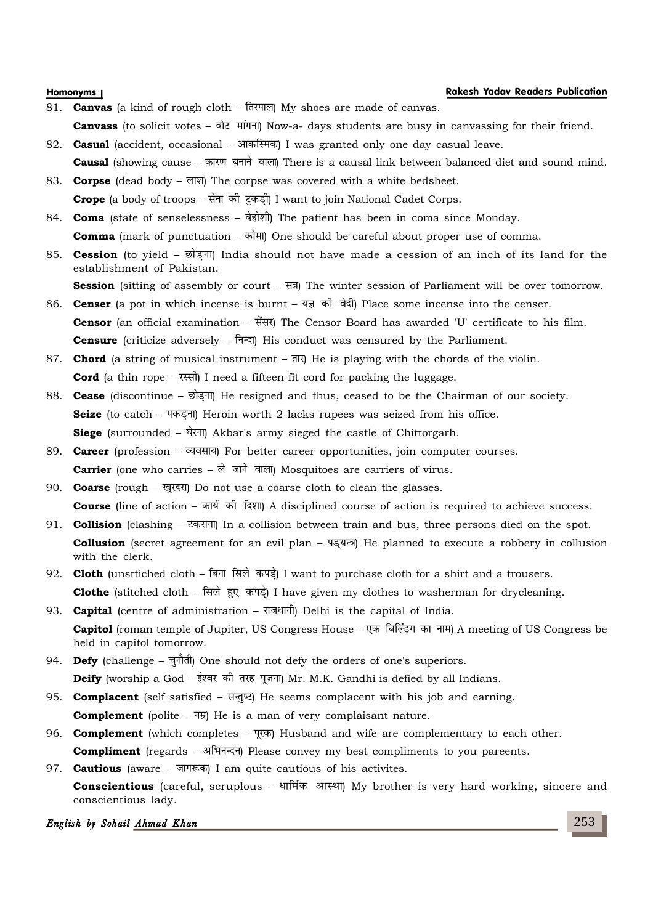- 81. **Canvas** (a kind of rough cloth  $\frac{f}{f(x)}$  My shoes are made of canvas. **Canvass** (to solicit votes – वोट मांगना) Now-a- days students are busy in canvassing for their friend.
- 82. **Casual** (accident, occasional आकस्मिक) I was granted only one day casual leave. Causal (showing cause – कारण बनाने वाला) There is a causal link between balanced diet and sound mind.
- 83. **Corpse** (dead body **yk' k**) The corpse was covered with a white bedsheet. **Crope** (a body of troops – सेना की टुकडी) I want to join National Cadet Corps.
- 84. **Coma** (state of senselessness बेहोशी) The patient has been in coma since Monday. **Comma** (mark of punctuation – **dksek**) One should be careful about proper use of comma.
- 85. **Cession** (to yield छोड़ना) India should not have made a cession of an inch of its land for the establishment of Pakistan.

Session (sitting of assembly or court – सत्र) The winter session of Parliament will be over tomorrow.

- 86. **Censer** (a pot in which incense is burnt यज्ञ की वेदी) Place some incense into the censer. Censor (an official examination – सेंसर) The Censor Board has awarded 'U' certificate to his film. **Censure** (criticize adversely – निन्दा) His conduct was censured by the Parliament.
- 87. **Chord** (a string of musical instrument **rkj**) He is playing with the chords of the violin. **Cord** (a thin rope – रस्सी) I need a fifteen fit cord for packing the luggage.
- 88. **Cease** (discontinue छोड़ना) He resigned and thus, ceased to be the Chairman of our society. Seize (to catch – पकड़ना) Heroin worth 2 lacks rupees was seized from his office. Siege (surrounded – घेरना) Akbar's army sieged the castle of Chittorgarh.
- 89. **Career** (profession व्यवसाय) For better career opportunities, join computer courses. **Carrier** (one who carries – ले जाने वाला) Mosquitoes are carriers of virus.
- 90. **Coarse** (rough खुरदर) Do not use a coarse cloth to clean the glasses. **Course** (line of action – कार्य की दिशा) A disciplined course of action is required to achieve success.
- 91. **Collision** (clashing टकराना) In a collision between train and bus, three persons died on the spot. **Collusion** (secret agreement for an evil plan – पड्यन्त्र) He planned to execute a robbery in collusion with the clerk.
- 92. **Cloth** (unsttiched cloth बिना सिले कपड़े) I want to purchase cloth for a shirt and a trousers. **Clothe** (stitched cloth – सिले हुए कपड़े) I have given my clothes to washerman for drycleaning.
- 93. **Capital** (centre of administration राजधानी) Delhi is the capital of India. Capitol (roman temple of Jupiter, US Congress House – एक बिल्डिंग का नाम) A meeting of US Congress be held in capitol tomorrow.
- 94. **Defy** (challenge चुनौती) One should not defy the orders of one's superiors. Deify (worship a God – ईश्वर की तरह पूजना) Mr. M.K. Gandhi is defied by all Indians.
- 95. **Complacent** (self satisfied सन्तुष्ट) He seems complacent with his job and earning. **Complement** (polite – नम्र) He is a man of very complaisant nature.
- 96. **Complement** (which completes पूरक) Husband and wife are complementary to each other. **Compliment** (regards – अभिनन्दन) Please convey my best compliments to you pareents.
- 97. **Cautious** (aware जागरूक) I am quite cautious of his activites. **Conscientious** (careful, scruplous – धार्मिक आस्था) My brother is very hard working, sincere and

conscientious lady.

# **English by Sohail Ahmad Khan**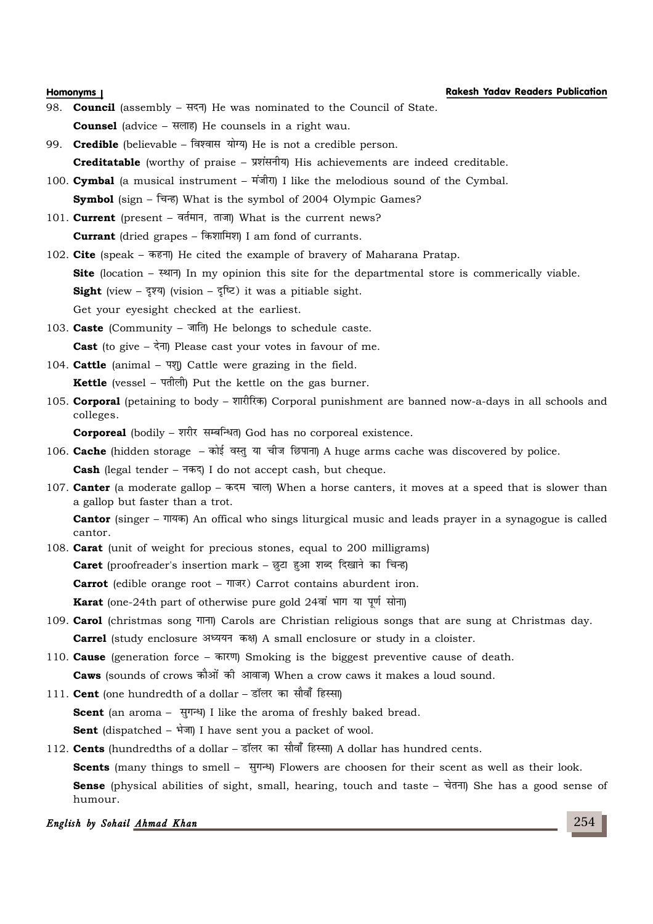- 98. **Council** (assembly सदन) He was nominated to the Council of State. **Counsel** (advice – सलाह) He counsels in a right wau.
- 99. **Credible** (believable विश्वास योग्य) He is not a credible person. **Creditatable** (worthy of praise – प्रशंसनीय) His achievements are indeed creditable.
- 100. **Cymbal** (a musical instrument **F**iveleral I like the melodious sound of the Cymbal. **Symbol** (sign – चिन्ह) What is the symbol of 2004 Olympic Games?
- 101. **Current** (present वर्तमान, ताजा) What is the current news? **Currant** (dried grapes – किशामिश) I am fond of currants.
- 102. **Cite** (speak कहना) He cited the example of bravery of Maharana Pratap. **Site** (location –  $\forall$ <sup>*k*</sup><sub>I</sub> $\forall$ <sub>I</sub> In my opinion this site for the departmental store is commerically viable. **Sight** (view –  $\frac{1}{3}$ ) (vision –  $\frac{1}{3}$ ) it was a pitiable sight. Get your eyesight checked at the earliest.
- 103. **Caste** (Community जाति) He belongs to schedule caste. **Cast** (to give – देना) Please cast your votes in favour of me.
- 104. **Cattle** (animal पश्) Cattle were grazing in the field. Kettle (vessel – पतीली) Put the kettle on the gas burner.
- 105. **Corporal** (petaining to body **' kkjhfjd**) Corporal punishment are banned now-a-days in all schools and colleges.

**Corporeal** (bodily – शरीर सम्बन्धित) God has no corporeal existence.

- 106. **Cache** (hidden storage कोई वस्तु या चीज छिपाना) A huge arms cache was discovered by police. **Cash** (legal tender – **udn**) I do not accept cash, but cheque.
- 107. **Canter** (a moderate gallop कदम चाल) When a horse canters, it moves at a speed that is slower than a gallop but faster than a trot.

**Cantor** (singer – **xk; d**) An offical who sings liturgical music and leads prayer in a synagogue is called cantor.

- 108. **Carat** (unit of weight for precious stones, equal to 200 milligrams) Caret (proofreader's insertion mark - छुटा हुआ शब्द दिखाने का चिन्ह) **Carrot** (edible orange root – **xkt j)** Carrot contains aburdent iron. Karat (one-24th part of otherwise pure gold 24वां भाग या पूर्ण सोना)
- 109. **Carol** (christmas song **xkuk**) Carols are Christian religious songs that are sung at Christmas day. Carrel (study enclosure अध्ययन कक्ष) A small enclosure or study in a cloister.
- 110. **Cause** (generation force कारण) Smoking is the biggest preventive cause of death. Caws (sounds of crows कौओं की आवाज) When a crow caws it makes a loud sound.
- 111. Cent (one hundredth of a dollar डॉलर का सौवाँ हिस्सा)

**Scent** (an aroma – सुगन्ध) I like the aroma of freshly baked bread.

**Sent** (dispatched – भेजा) I have sent you a packet of wool.

112. **Cents** (hundredths of a dollar – डॉलर का सौवाँ हिस्सा) A dollar has hundred cents.

**Scents** (many things to smell – सुगन्ध) Flowers are choosen for their scent as well as their look.

**Sense** (physical abilities of sight, small, hearing, touch and taste – चेतना) She has a good sense of humour.

# **English by Sohail Ahmad Khan**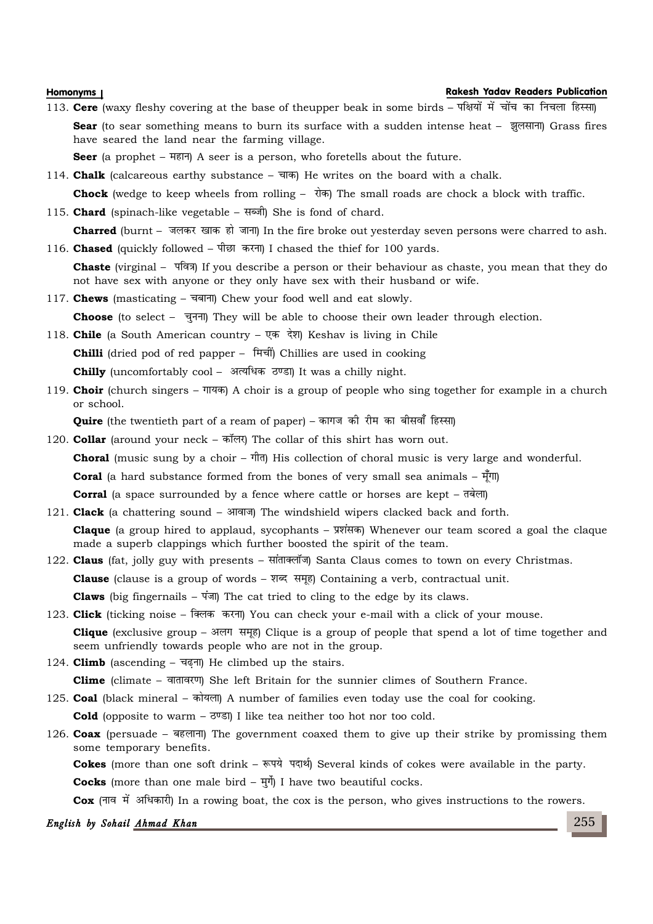113. Cere (waxy fleshy covering at the base of theupper beak in some birds - पक्षियों में चोंच का निचला हिस्सा। **Sear** (to sear something means to burn its surface with a sudden intense heat – झूलसाना) Grass fires have seared the land near the farming village.

**Seer** (a prophet – **egku**) A seer is a person, who foretells about the future.

114. **Chalk** (calcareous earthy substance  $\overline{a}$ ) He writes on the board with a chalk.

**Chock** (wedge to keep wheels from rolling  $\vec{v}$ ) The small roads are chock a block with traffic.

115. **Chard** (spinach-like vegetable – सब्जी) She is fond of chard.

Charred (burnt - जलकर खाक हो जाना) In the fire broke out yesterday seven persons were charred to ash.

116. **Chased** (quickly followed – पीछा करना) I chased the thief for 100 yards.

**Chaste** (virginal – पवित्र) If you describe a person or their behaviour as chaste, you mean that they do not have sex with anyone or they only have sex with their husband or wife.

- 117. **Chews** (masticating चबाना) Chew your food well and eat slowly. **Choose** (to select – चुनना) They will be able to choose their own leader through election.
- 118. **Chile** (a South American country एक देश) Keshav is living in Chile **Chilli** (dried pod of red papper – मिचीं) Chillies are used in cooking Chilly (uncomfortably cool - अत्यधिक ठण्डा) It was a chilly night.
- 119. **Choir** (church singers गायक) A choir is a group of people who sing together for example in a church or school.

**Quire** (the twentieth part of a ream of paper) – कागज की रीम का बीसवाँ हिस्सा।

- 120. **Collar** (around your neck कॉलर) The collar of this shirt has worn out. **Choral** (music sung by a choir – **xhr**) His collection of choral music is very large and wonderful. **Coral** (a hard substance formed from the bones of very small sea animals  $-\frac{w}{k}$ ) **Corral** (a space surrounded by a fence where cattle or horses are kept – तबेला)
- 121. **Clack** (a chattering sound आवाज) The windshield wipers clacked back and forth. Claque (a group hired to applaud, sycophants – प्रशंसक) Whenever our team scored a goal the claque made a superb clappings which further boosted the spirit of the team.
- 122. Claus (fat, jolly guy with presents सांताक्लॉज) Santa Claus comes to town on every Christmas. **Clause** (clause is a group of words – शब्द समूह) Containing a verb, contractual unit. **Claws** (big fingernails – पंजा) The cat tried to cling to the edge by its claws.
- 123. Click (ticking noise क्लिक करना) You can check your e-mail with a click of your mouse. **Clique** (exclusive group – अलग समूह) Clique is a group of people that spend a lot of time together and seem unfriendly towards people who are not in the group.
- 124. Climb (ascending चढ़ना) He climbed up the stairs.

**Clime** (climate – **okrkoj.k**) She left Britain for the sunnier climes of Southern France.

125. **Coal** (black mineral – कोयला) A number of families even today use the coal for cooking.

**Cold** (opposite to warm – <del>उण्डा</del>) I like tea neither too hot nor too cold.

126. **Coax** (persuade – बहलाना) The government coaxed them to give up their strike by promissing them some temporary benefits.

**Cokes** (more than one soft drink – रूपये पदार्थ) Several kinds of cokes were available in the party.

**Cocks** (more than one male bird –  $\overrightarrow{H}$ ) I have two beautiful cocks.

**Cox** (नाव में अधिकारी) In a rowing boat, the cox is the person, who gives instructions to the rowers.

# **English by Sohail Ahmad Khan**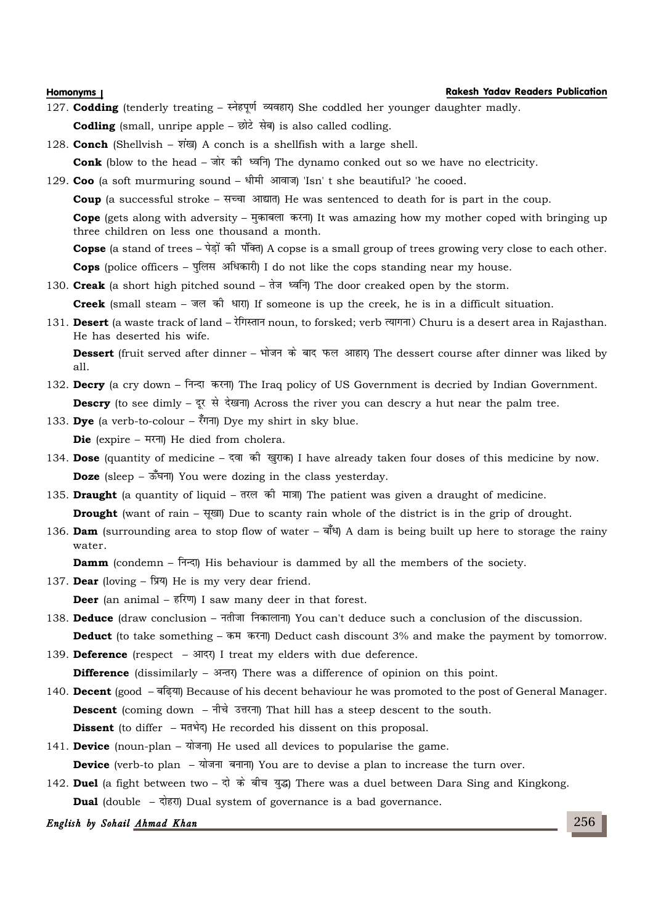- 127. Codding (tenderly treating स्नेहपूर्ण व्यवहार) She coddled her younger daughter madly. **Codling** (small, unripe apple – छोटे सेब) is also called codling.
- 128. **Conch** (Shellvish  $\overline{v}$  and  $A$  conch is a shellfish with a large shell.

Conk (blow to the head – जोर की ध्वनि) The dynamo conked out so we have no electricity.

129. **Coo** (a soft murmuring sound – धीमी आवाज) 'Isn' t she beautiful? 'he cooed.

**Coup** (a successful stroke – सच्चा आद्यात) He was sentenced to death for is part in the coup.

**Cope** (gets along with adversity – मुकाबला करना) It was amazing how my mother coped with bringing up three children on less one thousand a month.

**Copse** (a stand of trees – पेडों की पंक्ति) A copse is a small group of trees growing very close to each other. **Cops** (police officers – पुलिस अधिकारी) I do not like the cops standing near my house.

- 130. **Creak** (a short high pitched sound तेज ध्वनि) The door creaked open by the storm.
- Creek (small steam जल की धारा) If someone is up the creek, he is in a difficult situation.
- 131. Desert (a waste track of land रेगिस्तान noun, to forsked; verb त्यागना) Churu is a desert area in Rajasthan. He has deserted his wife.

Dessert (fruit served after dinner – भोजन के बाद फल आहार) The dessert course after dinner was liked by all.

132. **Decry** (a cry down – निन्दा करना) The Iraq policy of US Government is decried by Indian Government. **Descry** (to see dimly – दर से देखना) Across the river you can descry a hut near the palm tree.

133. **Dye** (a verb-to-colour – रँगना) Dye my shirt in sky blue.

**Die** (expire – मरना) He died from cholera.

- 134. **Dose** (quantity of medicine दवा की ख़ुराक) I have already taken four doses of this medicine by now. **Doze** (sleep – ऊँघना) You were dozing in the class yesterday.
- 135. **Draught** (a quantity of liquid तरल की मात्रा) The patient was given a draught of medicine. **Drought** (want of rain  $-\frac{1}{2}$ ) Due to scanty rain whole of the district is in the grip of drought.
- 136. **Dam** (surrounding area to stop flow of water बाँध) A dam is being built up here to storage the rainy water.

**Damm** (condemn – निन्दा) His behaviour is dammed by all the members of the society.

137. **Dear** (loving – प्रिय) He is my very dear friend.

**Deer** (an animal – हरिण) I saw many deer in that forest.

- 138. **Deduce** (draw conclusion नतीजा निकालाना) You can't deduce such a conclusion of the discussion. Deduct (to take something – कम करना) Deduct cash discount 3% and make the payment by tomorrow.
- 139. **Deference** (respect आदर) I treat my elders with due deference. **Difference** (dissimilarly – अन्तर) There was a difference of opinion on this point.
- 140. **Decent** (good बढिया) Because of his decent behaviour he was promoted to the post of General Manager. **Descent** (coming down – नीचे उत्तरना) That hill has a steep descent to the south. **Dissent** (to differ – मतभेद) He recorded his dissent on this proposal.
- 141. **Device** (noun-plan योजना) He used all devices to popularise the game. **Device** (verb-to plan – योजना बनाना) You are to devise a plan to increase the turn over.
- 142. **Duel** (a fight between two दो के बीच युद्ध) There was a duel between Dara Sing and Kingkong. Dual (double – दोहरा) Dual system of governance is a bad governance.

### **English by Sohail Ahmad Khan**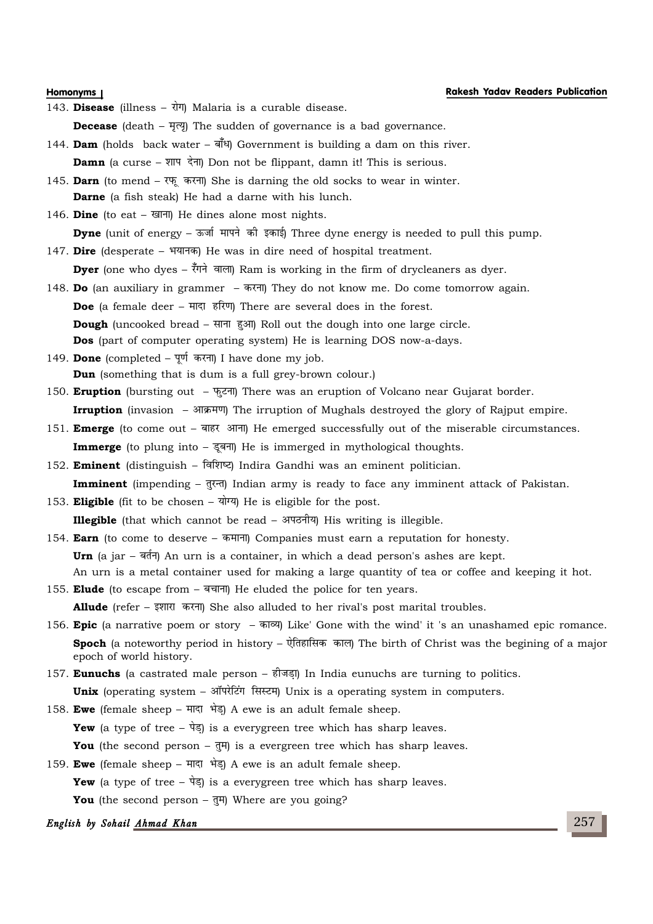143. **Disease** (illness – रोग) Malaria is a curable disease.

**Decease** (death – मृत्यू) The sudden of governance is a bad governance.

- 144. **Dam** (holds back water बाँध) Government is building a dam on this river. **Damn** (a curse – शाप देना) Don not be flippant, damn it! This is serious.
- 145. **Darn** (to mend रफ् करना) She is darning the old socks to wear in winter. **Darne** (a fish steak) He had a darne with his lunch.
- 146. **Dine** (to eat खाना) He dines alone most nights.

**Dyne** (unit of energy – ऊर्जा मापने की इकाई) Three dyne energy is needed to pull this pump.

147. **Dire** (desperate – भयानक) He was in dire need of hospital treatment.

**Dyer** (one who dyes – रँगने वाला) Ram is working in the firm of drycleaners as dyer.

- 148. **Do** (an auxiliary in grammer **djuk**) They do not know me. Do come tomorrow again. **Doe** (a female deer – मादा हरिण) There are several does in the forest. Dough (uncooked bread – साना हुआ) Roll out the dough into one large circle. **Dos** (part of computer operating system) He is learning DOS now-a-days.
- 149. **Done** (completed पूर्ण करना) I have done my job. **Dun** (something that is dum is a full grey-brown colour.)
- 150. **Eruption** (bursting out फुटना) There was an eruption of Volcano near Gujarat border. Irruption (invasion – आक्रमण) The irruption of Mughals destroyed the glory of Rajput empire.
- 151. **Emerge** (to come out बाहर आना) He emerged successfully out of the miserable circumstances. Immerge (to plung into – डूबना) He is immerged in mythological thoughts.
- 152. **Eminent** (distinguish विशिष्ट) Indira Gandhi was an eminent politician. Imminent (impending – तूरन) Indian army is ready to face any imminent attack of Pakistan.
- 153. **Eligible** (fit to be chosen  $\vec{v}$  and He is eligible for the post. **Illegible** (that which cannot be read – अपठनीय) His writing is illegible.
- 154. **Earn** (to come to deserve **dekuk**) Companies must earn a reputation for honesty. Urn (a jar – बर्तन) An urn is a container, in which a dead person's ashes are kept. An urn is a metal container used for making a large quantity of tea or coffee and keeping it hot.
- 155. **Elude** (to escape from बचाना) He eluded the police for ten years. Allude (refer – इशारा करना) She also alluded to her rival's post marital troubles.
- 156. **Epic** (a narrative poem or story काव्य) Like' Gone with the wind' it 's an unashamed epic romance. **Spoch** (a noteworthy period in history – ऐतिहासिक काल) The birth of Christ was the begining of a major epoch of world history.
- 157. **Eunuchs** (a castrated male person हीजड़ा) In India eunuchs are turning to politics.

**Unix** (operating system – ऑपरेटिंग सिस्टम) Unix is a operating system in computers.

158. **Ewe** (female sheep – मादा भेड़) A ewe is an adult female sheep.

**Yew** (a type of tree –  $\dot{\tau}$ ) is a everygreen tree which has sharp leaves.

**You** (the second person –  $\overline{q}$ <del>,  $\overline{q}$ </del>) is a evergreen tree which has sharp leaves.

159. **Ewe** (female sheep – मादा भेड़) A ewe is an adult female sheep.

**Yew** (a type of tree –  $\dot{\mathbf{q}}$ ) is a everygreen tree which has sharp leaves.

**You** (the second person  $-\overline{a}$ ) Where are you going?

### **English by Sohail Ahmad Khan**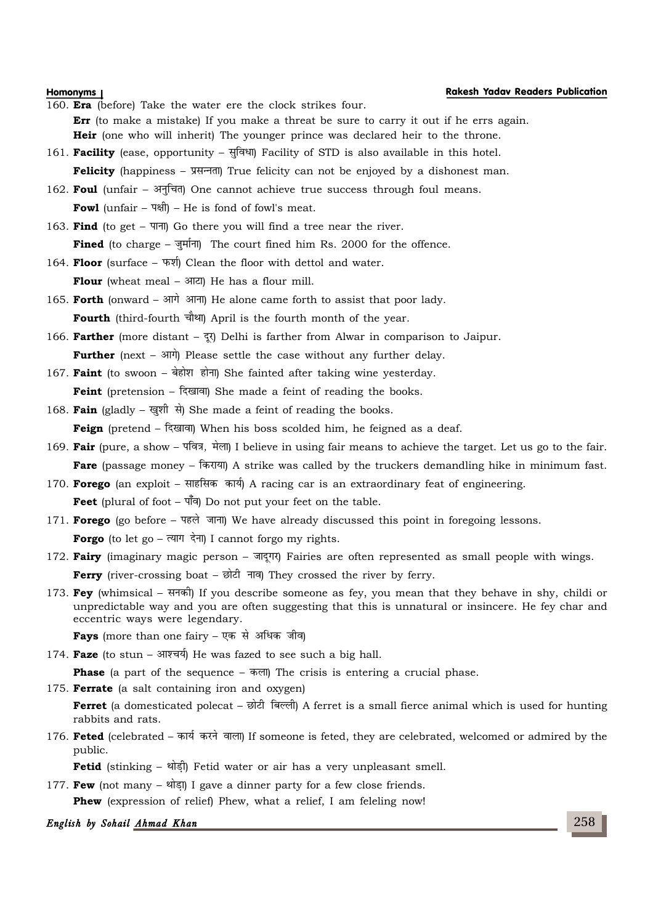- 160. **Era** (before) Take the water ere the clock strikes four. **Err** (to make a mistake) If you make a threat be sure to carry it out if he errs again. **Heir** (one who will inherit) The younger prince was declared heir to the throne.
- 161. **Facility** (ease, opportunity सुविधा) Facility of STD is also available in this hotel. **Felicity** (happiness – प्रसन्नता) True felicity can not be enjoyed by a dishonest man.
- 162. **Foul** (unfair अनुचित) One cannot achieve true success through foul means.

Fowl (unfair  $\vec{r}$ ) – He is fond of fowl's meat.

- 163. **Find** (to get पाना) Go there you will find a tree near the river. **Fined** (to charge – जुर्माना) The court fined him Rs. 2000 for the offence.
- 164. **Floor** (surface फर्श) Clean the floor with dettol and water.

**Flour** (wheat meal – आटा) He has a flour mill.

- 165. **Forth** (onward आगे आना) He alone came forth to assist that poor lady. **Fourth** (third-fourth चौथा) April is the fourth month of the year.
- 166. **Farther** (more distant दूर) Delhi is farther from Alwar in comparison to Jaipur. **Further** (next – आगे) Please settle the case without any further delay.
- 167. **Faint** (to swoon बेहोश होना) She fainted after taking wine yesterday. **Feint** (pretension – दिखाबा) She made a feint of reading the books.
- 168. **Fain** (gladly खुशी से) She made a feint of reading the books. Feign (pretend – *fail*) When his boss scolded him, he feigned as a deaf.
- 169. **Fair** (pure, a show पवित्र, मेला) I believe in using fair means to achieve the target. Let us go to the fair. **Fare** (passage money – किराया) A strike was called by the truckers demandling hike in minimum fast.
- 170. **Forego** (an exploit साहसिक कार्य) A racing car is an extraordinary feat of engineering. **Feet** (plural of foot – पाँव) Do not put your feet on the table.
- 171. **Forego** (go before पहले जाना) We have already discussed this point in foregoing lessons. **Forgo** (to let go – त्याग देना) I cannot forgo my rights.
- 172. **Fairy** (imaginary magic person जादगर) Fairies are often represented as small people with wings. Ferry (river-crossing boat – छोटी नाव) They crossed the river by ferry.
- 173. Fey (whimsical सनकी) If you describe someone as fey, you mean that they behave in shy, childi or unpredictable way and you are often suggesting that this is unnatural or insincere. He fey char and eccentric ways were legendary.

Fays (more than one fairy - एक से अधिक जीव)

- 174. **Faze** (to stun आश्चर्य) He was fazed to see such a big hall.
- **Phase** (a part of the sequence **dyk**) The crisis is entering a crucial phase.

175. **Ferrate** (a salt containing iron and oxygen)

**Ferret** (a domesticated polecat – छोटी बिल्ली) A ferret is a small fierce animal which is used for hunting rabbits and rats.

176. **Feted** (celebrated – कार्य करने वाला) If someone is feted, they are celebrated, welcomed or admired by the public.

**Fetid** (stinking – थोड़ी) Fetid water or air has a very unpleasant smell.

177. **Few** (not many –  $\mathcal{P}(\mathbf{x})$ ) I gave a dinner party for a few close friends.

**Phew** (expression of relief) Phew, what a relief, I am feleling now!

### **English by Sohail Ahmad Khan**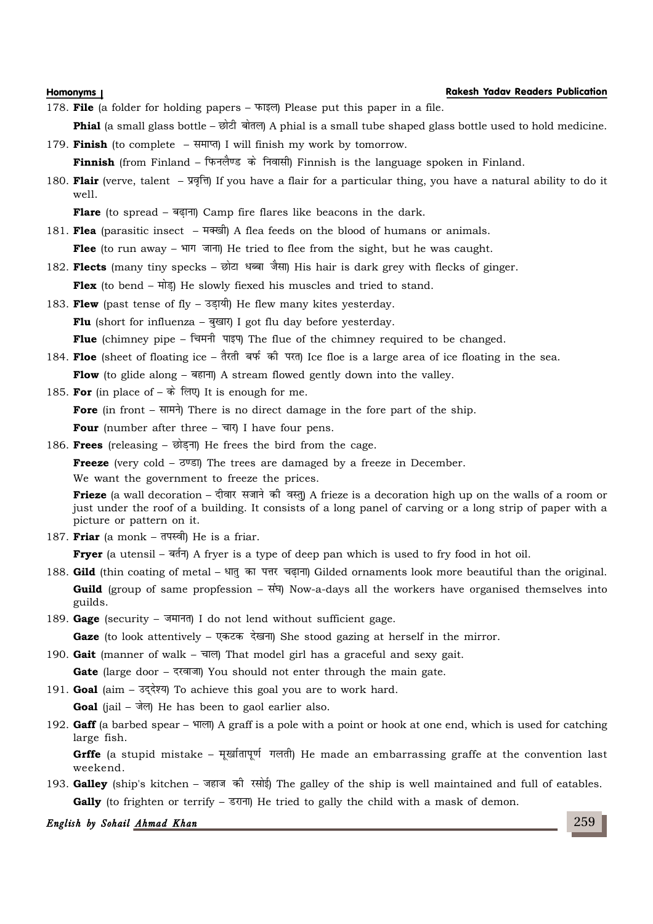- 178. **File** (a folder for holding papers  $\overline{w}$ ) Please put this paper in a file. **Phial** (a small glass bottle – छोटी बोतल) A phial is a small tube shaped glass bottle used to hold medicine.
- 179. **Finish** (to complete समाप्त) I will finish my work by tomorrow.

Finnish (from Finland – फिनलैण्ड के निवासी) Finnish is the language spoken in Finland.

180. **Flair** (verve, talent –  $\overline{396}$ ) If you have a flair for a particular thing, you have a natural ability to do it well.

**Flare** (to spread – बढ़ाना) Camp fire flares like beacons in the dark.

181. **Flea** (parasitic insect – मक्खी) A flea feeds on the blood of humans or animals.

**Flee** (to run away – भाग जाना) He tried to flee from the sight, but he was caught.

182. **Flects** (many tiny specks – छोटा धब्बा जैसा) His hair is dark grey with flecks of ginger.

**Flex** (to bend – मोड) He slowly fiexed his muscles and tried to stand.

183. **Flew** (past tense of fly –  $\overline{s}$  and He flew many kites yesterday.

**Flu** (short for influenza – बुखार) I got flu day before yesterday.

**Flue** (chimney pipe – चिमनी पाइप) The flue of the chimney required to be changed.

184. **Floe** (sheet of floating ice – तैरती बर्फ की परत) Ice floe is a large area of ice floating in the sea.

**Flow** (to glide along  $\overline{q}$   $\overline{q}$ ) A stream flowed gently down into the valley.

185. **For** (in place of – **ds fy,** ) It is enough for me.

**Fore** (in front – सामने) There is no direct damage in the fore part of the ship.

**Four** (number after three – **pkj**) I have four pens.

186. **Frees** (releasing – छोड़ना) He frees the bird from the cage.

**Freeze** (very cold  $\overline{\sigma}$ ) The trees are damaged by a freeze in December.

We want the government to freeze the prices.

Frieze (a wall decoration – दीवार सजाने की वस्तु) A frieze is a decoration high up on the walls of a room or just under the roof of a building. It consists of a long panel of carving or a long strip of paper with a picture or pattern on it.

187. **Friar** (a monk – तपस्वी) He is a friar.

**Fryer** (a utensil – बर्तन) A fryer is a type of deep pan which is used to fry food in hot oil.

- 188. Gild (thin coating of metal धातु का पत्तर चढ़ाना) Gilded ornaments look more beautiful than the original. Guild (group of same propfession – संघ) Now-a-days all the workers have organised themselves into guilds.
- 189. Gage (security जमानत) I do not lend without sufficient gage.

Gaze (to look attentively – एकटक देखना) She stood gazing at herself in the mirror.

- 190. **Gait** (manner of walk **pky**) That model girl has a graceful and sexy gait. Gate (large door – दरवाजा) You should not enter through the main gate.
- 191. Goal (aim उद्देश्य) To achieve this goal you are to work hard.

Goal (jail – जेल) He has been to gaol earlier also.

192. **Gaff** (a barbed spear – **Hkkyk**) A graff is a pole with a point or hook at one end, which is used for catching large fish.

Grffe (a stupid mistake – मुर्खातापूर्ण गलती) He made an embarrassing graffe at the convention last weekend.

193. Galley (ship's kitchen – जहाज की रसोई) The galley of the ship is well maintained and full of eatables. Gally (to frighten or terrify  $\overline{s}$  of  $\overline{m}$ ) He tried to gally the child with a mask of demon.

### **English by Sohail Ahmad Khan**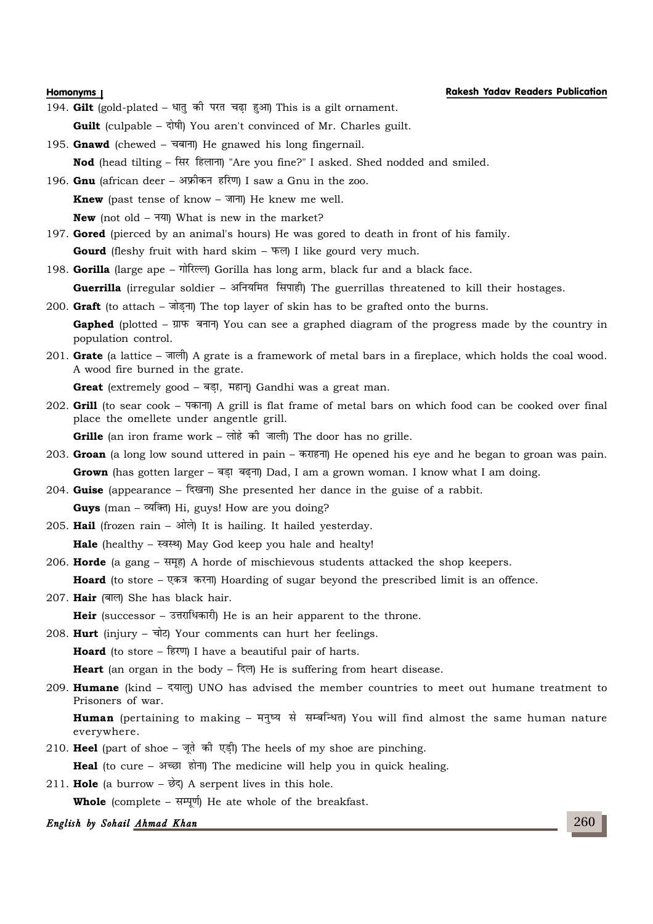194. Gilt (gold-plated – धात की परत चढ़ा हुआ) This is a gilt ornament.

Guilt (culpable – दोषी) You aren't convinced of Mr. Charles guilt.

195. **Gnawd** (chewed – चबाना) He gnawed his long fingernail.

**Nod** (head tilting – सिर हिलाना) "Are you fine?" I asked. Shed nodded and smiled.

196. Gnu (african deer - अफ्रीकन हरिण) I saw a Gnu in the zoo.

Knew (past tense of know – जाना) He knew me well.

**New** (not old –  $\overline{u}$ ) What is new in the market?

197. **Gored** (pierced by an animal's hours) He was gored to death in front of his family.

Gourd (fleshy fruit with hard skim – फल) I like gourd very much.

- 198. **Gorilla** (large ape *ilfteen*) Gorilla has long arm, black fur and a black face. Guerrilla (irregular soldier – अनियमित सिपाही) The guerrillas threatened to kill their hostages.
- 200. Graft (to attach जोड़ना) The top layer of skin has to be grafted onto the burns. Gaphed (plotted – ग्राफ बनान) You can see a graphed diagram of the progress made by the country in population control.
- 201. **Grate** (a lattice **t kyh**) A grate is a framework of metal bars in a fireplace, which holds the coal wood. A wood fire burned in the grate.

Great (extremely good – बड़ा, महान्) Gandhi was a great man.

202. **Grill** (to sear cook – पकाना) A grill is flat frame of metal bars on which food can be cooked over final place the omellete under angentle grill. Grille (an iron frame work – लोहे की जाली) The door has no grille.

203. **Groan** (a long low sound uttered in pain – **djkguk**) He opened his eye and he began to groan was pain.

Grown (has gotten larger – बड़ा बढ़ना) Dad, I am a grown woman. I know what I am doing.

204. **Guise** (appearance – दिखना) She presented her dance in the guise of a rabbit.

Guys (man – व्यक्ति) Hi, guys! How are you doing?

205. **Hail** (frozen rain – ओले) It is hailing. It hailed yesterday.

Hale (healthy – स्वस्थ) May God keep you hale and healty!

206. **Horde** (a gang – समूह) A horde of mischievous students attacked the shop keepers.

Hoard (to store – एकत्र करना) Hoarding of sugar beyond the prescribed limit is an offence.

207. **Hair** (बाल) She has black hair.

Heir (successor – उत्तराधिकारी) He is an heir apparent to the throne.

208. **Hurt** (injury – चोट) Your comments can hurt her feelings.

Hoard (to store – हिरण) I have a beautiful pair of harts.

**Heart** (an organ in the body  $\overline{R}$ , He is suffering from heart disease.

209. **Humane** (kind – **n; kyq**) UNO has advised the member countries to meet out humane treatment to Prisoners of war.

Human (pertaining to making – मनुष्य से सम्बन्धित) You will find almost the same human nature everywhere.

- 210. **Heel** (part of shoe जूते की एड़ी) The heels of my shoe are pinching. Heal (to cure – अच्छा होना) The medicine will help you in quick healing.
- 211. **Hole** (a burrow  $-\vec{\mathcal{B}}$ ) A serpent lives in this hole.

Whole (complete – सम्पूर्ण) He ate whole of the breakfast.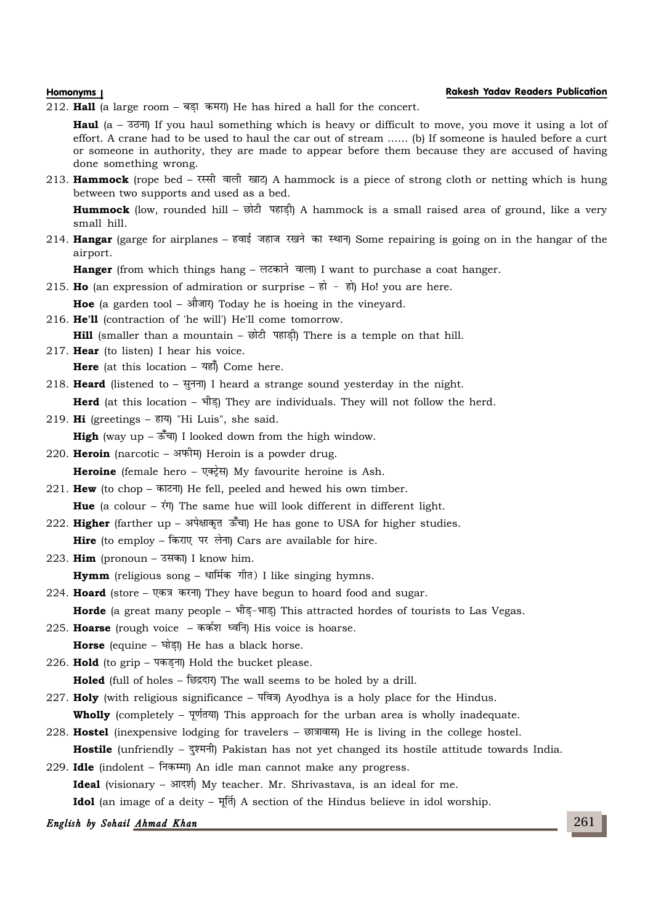$212$ . **Hall** (a large room –  $\overline{q}$   $\overline{q}$   $\overline{q}$  He has hired a hall for the concert.

Haul (a –  $\frac{1}{3}$  out haul something which is heavy or difficult to move, you move it using a lot of effort. A crane had to be used to haul the car out of stream ...... (b) If someone is hauled before a curt or someone in authority, they are made to appear before them because they are accused of having done something wrong.

213. Hammock (rope bed – रस्सी वाली खाट) A hammock is a piece of strong cloth or netting which is hung between two supports and used as a bed.

Hummock (low, rounded hill – छोटी पहाड़ी) A hammock is a small raised area of ground, like a very small hill.

214. Hangar (garge for airplanes – हवाई जहाज रखने का स्थान) Some repairing is going on in the hangar of the airport.

Hanger (from which things hang – लटकाने वाला) I want to purchase a coat hanger.

215. **Ho** (an expression of admiration or surprise  $-\overline{g}$ )  $-\overline{g}$ ) Ho! you are here.

**Hoe** (a garden tool – औजार) Today he is hoeing in the vineyard.

216. **He'll** (contraction of 'he will') He'll come tomorrow.

Hill (smaller than a mountain – छोटी पहाडी) There is a temple on that hill.

- 217. **Hear** (to listen) I hear his voice. Here (at this location – यहाँ) Come here.
- 218. **Heard** (listened to  $-$  सुनना) I heard a strange sound yesterday in the night. Herd (at this location – भीड़) They are individuals. They will not follow the herd.
- 219. **Hi** (greetings **gk;** ) "Hi Luis", she said. **High** (way up  $-\frac{1}{2}$   $\pi$ ) I looked down from the high window.
- 220. **Heroin** (narcotic अफीम) Heroin is a powder drug. Heroine (female hero – एक्ट्रेस) My favourite heroine is Ash.
- 221. **Hew** (to chop  $\overline{max}$ ) He fell, peeled and hewed his own timber. **Hue** (a colour –  $\dot{\tau}$ ) The same hue will look different in different light.
- 222. Higher (farther up अपेक्षाकृत ऊँचा) He has gone to USA for higher studies. Hire (to employ – किराए पर लेना) Cars are available for hire.
- 223. **Him** (pronoun उसका) I know him.

**Hymm** (religious song – धार्मिक गीत) I like singing hymns.

224. Hoard (store – एकत्र करना) They have begun to hoard food and sugar.

Horde (a great many people – भीड़-भाड़) This attracted hordes of tourists to Las Vegas.

- 225. Hoarse (rough voice कर्कश ध्वनि) His voice is hoarse. **Horse** (equine – घोड़ा) He has a black horse.
- 226. **Hold** (to grip पकड़ना) Hold the bucket please.

Holed (full of holes – छिद्रदार) The wall seems to be holed by a drill.

- 227. **Holy** (with religious significance पवित्र) Ayodhya is a holy place for the Hindus. **Wholly** (completely – पूर्णतया) This approach for the urban area is wholly inadequate.
- 228. **Hostel** (inexpensive lodging for travelers छात्रावास) He is living in the college hostel. Hostile (unfriendly – दुश्मनी) Pakistan has not yet changed its hostile attitude towards India.
- 229. **Idle** (indolent निकम्मा) An idle man cannot make any progress. **Ideal** (visionary – आदर्श) My teacher. Mr. Shrivastava, is an ideal for me. **Idol** (an image of a deity –  $\overline{H}$  A section of the Hindus believe in idol worship.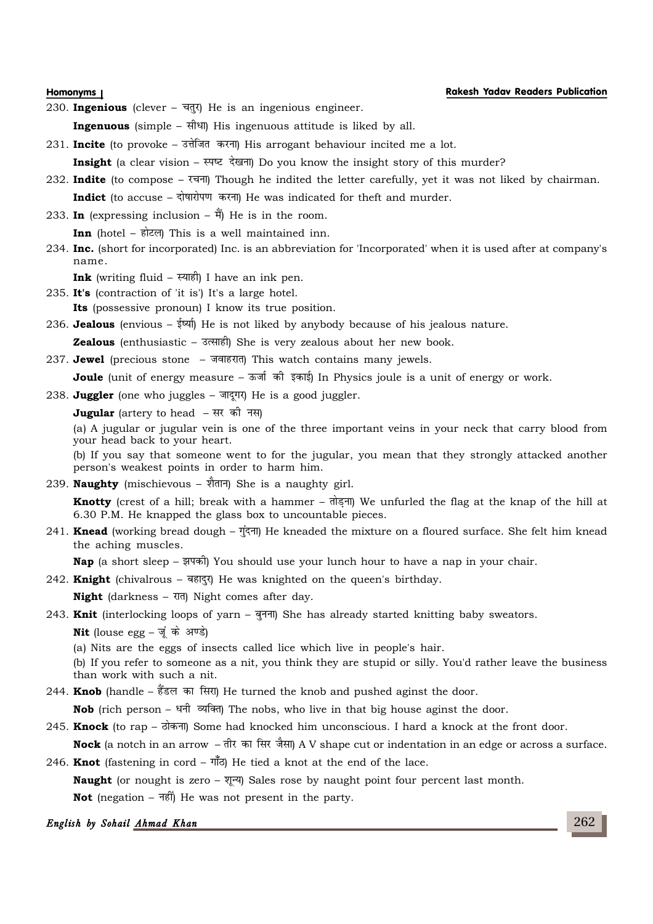230. **Ingenious** (clever – **prqj**) He is an ingenious engineer.

Ingenuous (simple – *p H*  $\in$  **h** k<sup>l</sup> and *H* is ingenuous attitude is liked by all.

231. **Incite** (to provoke – **mÙksft r djuk**) His arrogant behaviour incited me a lot.

Insight (a clear vision – स्पष्ट देखना) Do you know the insight story of this murder?

- 232. **Indite** (to compose **jpuk**) Though he indited the letter carefully, yet it was not liked by chairman. Indict (to accuse – दोषारोपण करना) He was indicated for theft and murder.
- 233. **In** (expressing inclusion  $\ddot{\mathbf{\hat{H}}}$ ) He is in the room.

Inn (hotel – होटल) This is a well maintained inn.

234. **Inc.** (short for incorporated) Inc. is an abbreviation for 'Incorporated' when it is used after at company's name.

Ink (writing fluid – स्याही) I have an ink pen.

- 235. **It's** (contraction of 'it is') It's a large hotel.
- **Its** (possessive pronoun) I know its true position.

236. **Jealous** (envious – **bZ"; kZ**) He is not liked by anybody because of his jealous nature.

**Zealous** (enthusiastic – उत्साही) She is very zealous about her new book.

237. **Jewel** (precious stone – जवाहरात) This watch contains many jewels.

**Joule** (unit of energy measure – ऊर्जा की इकाई) In Physics joule is a unit of energy or work.

238. **Juggler** (one who juggles – जादूगर) He is a good juggler.

**Jugular** (artery to head - सर की नस)

(a) A jugular or jugular vein is one of the three important veins in your neck that carry blood from your head back to your heart.

(b) If you say that someone went to for the jugular, you mean that they strongly attacked another person's weakest points in order to harm him.

239. **Naughty** (mischievous – शैतान) She is a naughty girl.

**Knotty** (crest of a hill; break with a hammer – तोडना) We unfurled the flag at the knap of the hill at 6.30 P.M. He knapped the glass box to uncountable pieces.

241. **Knead** (working bread dough – गुंदना) He kneaded the mixture on a floured surface. She felt him knead the aching muscles.

**Nap** (a short sleep – इपकी) You should use your lunch hour to have a nap in your chair.

242. **Knight** (chivalrous –  $\vec{\theta}$ ) He was knighted on the queen's birthday.

**Night** (darkness – रात) Night comes after day.

- 243. **Knit** (interlocking loops of yarn बुनना) She has already started knitting baby sweators.
	- **Nit** (louse egg जं के अण्डे)

(a) Nits are the eggs of insects called lice which live in people's hair.

(b) If you refer to someone as a nit, you think they are stupid or silly. You'd rather leave the business than work with such a nit.

244. **Knob** (handle – हैंडल का सिरा) He turned the knob and pushed aginst the door.

**Nob** (rich person – धनी व्यक्ति) The nobs, who live in that big house aginst the door.

- 245. **Knock** (to rap **Bksduk**) Some had knocked him unconscious. I hard a knock at the front door. **Nock** (a notch in an arrow – तीर का सिर जैसा) A V shape cut or indentation in an edge or across a surface.
- 246. **Knot** (fastening in cord  $\vec{w}$ ) He tied a knot at the end of the lace.

**Naught** (or nought is zero – शून्य) Sales rose by naught point four percent last month.

**Not** (negation – नहीं) He was not present in the party.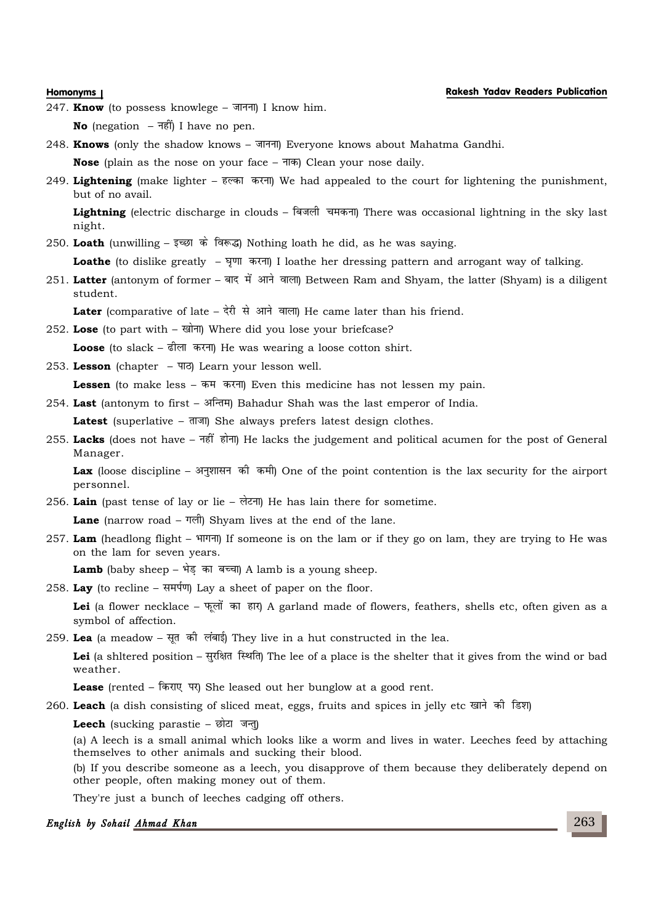- 247. **Know** (to possess knowlege जानना) I know him. **No** (negation – नहीं) I have no pen.
- 248. **Knows** (only the shadow knows जानना) Everyone knows about Mahatma Gandhi.

**Nose** (plain as the nose on your face – नाक) Clean your nose daily.

249. Lightening (make lighter – हल्का करना) We had appealed to the court for lightening the punishment, but of no avail.

Lightning (electric discharge in clouds – बिजली चमकना) There was occasional lightning in the sky last night.

250. Loath (unwilling – इच्छा के विरूद्ध) Nothing loath he did, as he was saying.

Loathe (to dislike greatly – घणा करना) I loathe her dressing pattern and arrogant way of talking.

251. Latter (antonym of former – बाद में आने वाला) Between Ram and Shyam, the latter (Shyam) is a diligent student.

Later (comparative of late – देरी से आने वाला) He came later than his friend.

252. **Lose** (to part with – खोना) Where did you lose your briefcase?

Loose (to slack – ढीला करना) He was wearing a loose cotton shirt.

253. Lesson (chapter – पाठ) Learn your lesson well.

Lessen (to make less – कम करना) Even this medicine has not lessen my pain.

254. Last (antonym to first – अन्तिम) Bahadur Shah was the last emperor of India.

Latest (superlative – ताजा) She always prefers latest design clothes.

255. Lacks (does not have – नहीं होना) He lacks the judgement and political acumen for the post of General Manager.

Lax (loose discipline – अनुशासन की कमी) One of the point contention is the lax security for the airport personnel.

256. **Lain** (past tense of lay or lie –  $\vec{\sigma}$ ) He has lain there for sometime.

**Lane** (narrow road – **xyh**) Shyam lives at the end of the lane.

257. **Lam** (headlong flight – भागना) If someone is on the lam or if they go on lam, they are trying to He was on the lam for seven years.

Lamb (baby sheep – भेड़ का बच्चा) A lamb is a young sheep.

258. **Lay** (to recline –  $\frac{1}{258}$  Lay a sheet of paper on the floor.

**Lei** (a flower necklace – फूलों का हार) A garland made of flowers, feathers, shells etc, often given as a symbol of affection.

259. Lea (a meadow – सूत की लंबाई) They live in a hut constructed in the lea.

**Lei** (a shitered position – सूरक्षित स्थिति) The lee of a place is the shelter that it gives from the wind or bad weather.

Lease (rented – किराए पर) She leased out her bunglow at a good rent.

260. Leach (a dish consisting of sliced meat, eggs, fruits and spices in jelly etc खाने की डिश)

**Leech** (sucking parastie – छोटा जन्तु)

(a) A leech is a small animal which looks like a worm and lives in water. Leeches feed by attaching themselves to other animals and sucking their blood.

(b) If you describe someone as a leech, you disapprove of them because they deliberately depend on other people, often making money out of them.

They're just a bunch of leeches cadging off others.

# **English by Sohail Ahmad Khan**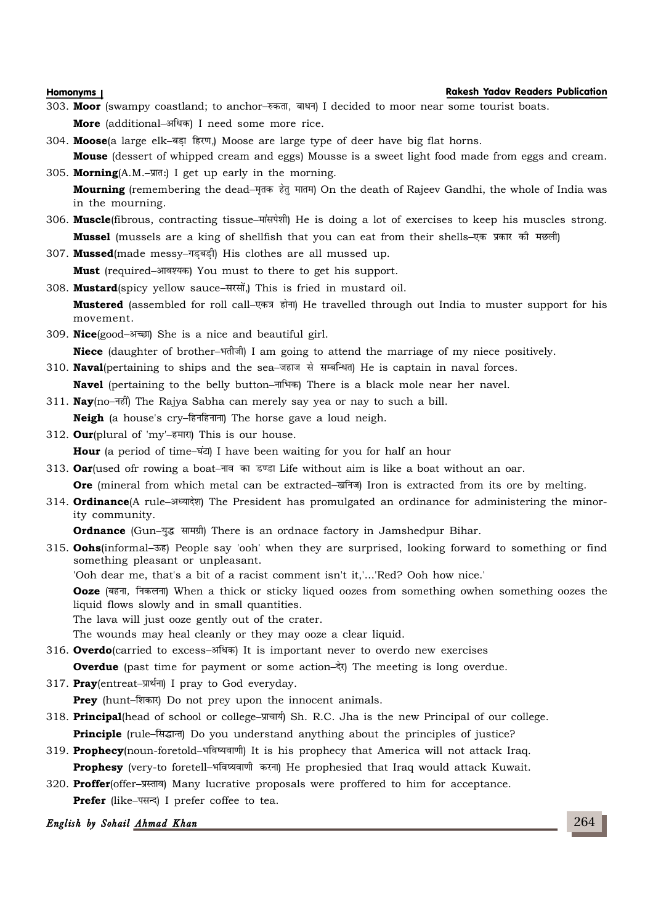- 303. Moor (swampy coastland; to anchor–रुकता, बाधन) I decided to moor near some tourist boats. **More** (additional–**vf/ d**) I need some more rice.
- 304. **Moose**(a large elk–बड़ा हिरण.) Moose are large type of deer have big flat horns. **Mouse** (dessert of whipped cream and eggs) Mousse is a sweet light food made from eggs and cream.
- 305. **Morning**(A.M.–प्रात:) I get up early in the morning. **Mourning** (remembering the dead–**e`rd gsrq ekre**) On the death of Rajeev Gandhi, the whole of India was in the mourning.
- 306. **Muscle**(fibrous, contracting tissue–मांसपेशी) He is doing a lot of exercises to keep his muscles strong. Mussel (mussels are a king of shellfish that you can eat from their shells–एक प्रकार की मछली)
- 307. Mussed(made messy-गड़बड़ी) His clothes are all mussed up. **Must** (required–आवश्यक) You must to there to get his support.
- 308. **Mustard**(spicy yellow sauce–सरसों,) This is fried in mustard oil.

**Mustered** (assembled for roll call–एकत्र होना) He travelled through out India to muster support for his movement.

309. **Nice**(good–अच्छा) She is a nice and beautiful girl.

**Niece** (daughter of brother–**Hkrht h**) I am going to attend the marriage of my niece positively.

310. Naval(pertaining to ships and the sea-जहाज से सम्बन्धित) He is captain in naval forces.

**Navel** (pertaining to the belly button–**ukfHkd**) There is a black mole near her navel.

- 311. **Nay**(no–**ugha**) The Rajya Sabha can merely say yea or nay to such a bill. **Neigh** (a house's cry–हिनहिनाना) The horse gave a loud neigh.
- 312. **Our**(plural of 'my'–**gekjk**) This is our house. Hour (a period of time–घंटा) I have been waiting for you for half an hour
- 313. **Oar**(used ofr rowing a boat–नाव का डण्डा Life without aim is like a boat without an oar.
	- **Ore** (mineral from which metal can be extracted–खनिज) Iron is extracted from its ore by melting.
- 314. **Ordinance**(A rule–अध्यादेश) The President has promulgated an ordinance for administering the minority community.

**Ordnance** (Gun–युद्ध सामग्री) There is an ordnace factory in Jamshedpur Bihar.

- 315. **Oohs**(informal–**Åg**) People say 'ooh' when they are surprised, looking forward to something or find something pleasant or unpleasant.
	- 'Ooh dear me, that's a bit of a racist comment isn't it,'...'Red? Ooh how nice.'

Ooze (बहना, निकलना) When a thick or sticky liqued oozes from something owhen something oozes the liquid flows slowly and in small quantities.

The lava will just ooze gently out of the crater.

The wounds may heal cleanly or they may ooze a clear liquid.

316. **Overdo**(carried to excess–**vf/ d**) It is important never to overdo new exercises

**Overdue** (past time for payment or some action–**nsj**) The meeting is long overdue.

317. **Pray**(entreat–प्रार्थना) I pray to God everyday.

Prey (hunt–शिकार) Do not prey upon the innocent animals.

- 318. **Principal**(head of school or college–प्राचार्य) Sh. R.C. Jha is the new Principal of our college. **Principle** (rule–सिद्धान) Do you understand anything about the principles of justice?
- 319. **Prophecy**(noun-foretold–भविष्यवाणी) It is his prophecy that America will not attack Iraq. Prophesy (very-to foretell–भविष्यवाणी करना) He prophesied that Iraq would attack Kuwait.
- 320. **Proffer**(offer–प्रस्ताव) Many lucrative proposals were proffered to him for acceptance. **Prefer** (like–पसन्द) I prefer coffee to tea.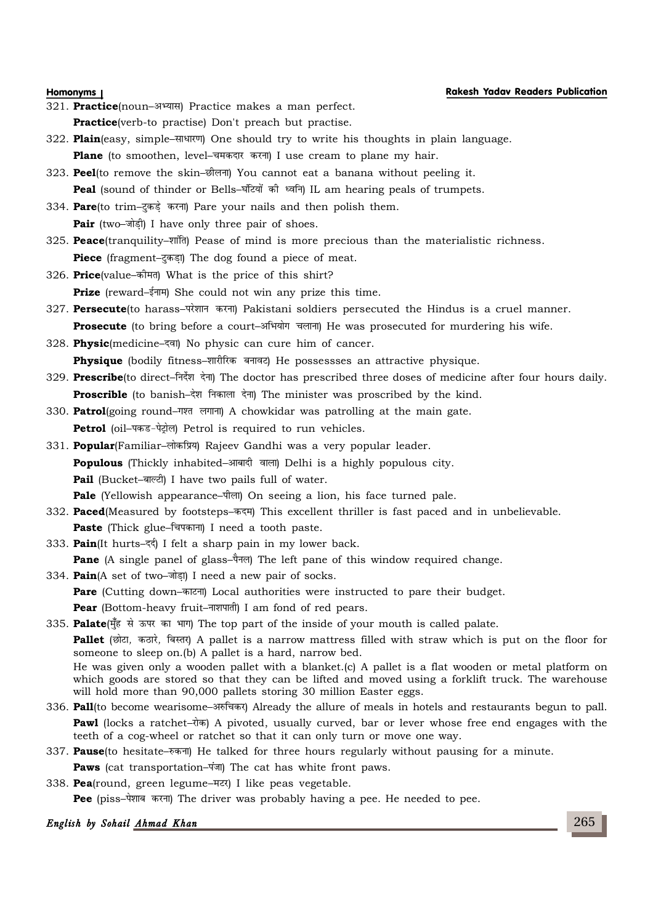- **Homonyms Rakesh Yadav Readers Publication**
- 321. **Practice**(noun–अभ्यास) Practice makes a man perfect. **Practice**(verb-to practise) Don't preach but practise.
- 322. **Plain**(easy, simple–साधारण) One should try to write his thoughts in plain language. Plane (to smoothen, level–चमकदार करना) I use cream to plane my hair.
- 323. **Peel**(to remove the skin–छोलना) You cannot eat a banana without peeling it. **Peal** (sound of thinder or Bells–घंटियों की ध्वनि) IL am hearing peals of trumpets.
- 334. Pare(to trim-दुकड़े करना) Pare your nails and then polish them. **Pair** (two–जोड़ी) I have only three pair of shoes.
- 325. **Peace**(tranquility–शांति) Pease of mind is more precious than the materialistic richness. **Piece** (fragment–दुकड़ा) The dog found a piece of meat.
- 326. **Price**(value–**dher**) What is the price of this shirt? **Prize** (reward–ईनाम) She could not win any prize this time.
- 327. **Persecute**(to harass–परेशान करना) Pakistani soldiers persecuted the Hindus is a cruel manner. Prosecute (to bring before a court–अभियोग चलाना) He was prosecuted for murdering his wife.
- 328. **Physic**(medicine–**nok**) No physic can cure him of cancer. Physique (bodily fitness–शारीरिक बनावट) He possessses an attractive physique.
- 329. **Prescribe**(to direct–निर्देश देना) The doctor has prescribed three doses of medicine after four hours daily. Proscrible (to banish-देश निकाला देना) The minister was proscribed by the kind.
- 330. **Patrol**(going round–गश्त लगाना) A chowkidar was patrolling at the main gate. **Petrol** (oil–पकड-पेट्रोल) Petrol is required to run vehicles.
- 331. **Popular**(Familiar–लोकप्रिय) Rajeev Gandhi was a very popular leader. **Populous** (Thickly inhabited–आबादी वाला) Delhi is a highly populous city. **Pail** (Bucket–बाल्टी) I have two pails full of water. **Pale** (Yellowish appearance–**i hyk**) On seeing a lion, his face turned pale.
- 332. **Paced**(Measured by footsteps–**dne**) This excellent thriller is fast paced and in unbelievable. Paste (Thick glue–चिपकाना) I need a tooth paste.
- 333. **Pain**(It hurts–दर्द) I felt a sharp pain in my lower back.

**Pane** (A single panel of glass–पैनल) The left pane of this window required change.

334. **Pain**(A set of two–जोड़ा) I need a new pair of socks.

**Pare** (Cutting down–**dkVuk**) Local authorities were instructed to pare their budget. **Pear** (Bottom-heavy fruit–नाशपाती) I am fond of red pears.

335. **Palate**(मूँह से ऊपर का भाग) The top part of the inside of your mouth is called palate.

Pallet (छोटा, कठारे, बिस्तर) A pallet is a narrow mattress filled with straw which is put on the floor for someone to sleep on.(b) A pallet is a hard, narrow bed.

He was given only a wooden pallet with a blanket.(c) A pallet is a flat wooden or metal platform on which goods are stored so that they can be lifted and moved using a forklift truck. The warehouse will hold more than 90,000 pallets storing 30 million Easter eggs.

- 336. **Pall**(to become wearisome–अरुचिकर) Already the allure of meals in hotels and restaurants begun to pall. **Pawl** (locks a ratchet–रोक) A pivoted, usually curved, bar or lever whose free end engages with the teeth of a cog-wheel or ratchet so that it can only turn or move one way.
- 337. **Pause**(to hesitate–**#duk**) He talked for three hours regularly without pausing for a minute.
- Paws (cat transportation–पंजा) The cat has white front paws.
- 338. **Pea**(round, green legume–मटर) I like peas vegetable.

**Pee** (piss–पेशाब करना) The driver was probably having a pee. He needed to pee.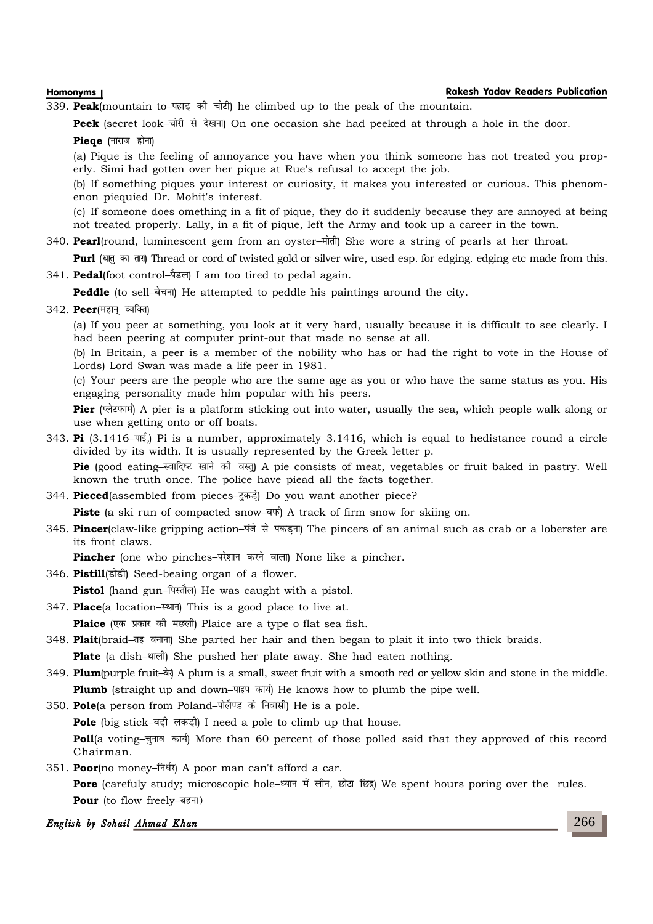339. **Peak**(mountain to–पहाड की चोटी) he climbed up to the peak of the mountain.

**Peek** (secret look–चोरी से देखना) On one occasion she had peeked at through a hole in the door.

**Piege** (नाराज होना)

(a) Pique is the feeling of annoyance you have when you think someone has not treated you properly. Simi had gotten over her pique at Rue's refusal to accept the job.

(b) If something piques your interest or curiosity, it makes you interested or curious. This phenomenon piequied Dr. Mohit's interest.

(c) If someone does omething in a fit of pique, they do it suddenly because they are annoyed at being not treated properly. Lally, in a fit of pique, left the Army and took up a career in the town.

340. **Pearl**(round, luminescent gem from an oyster–**eksrh**) She wore a string of pearls at her throat.

**Purl** (धातु का तार) Thread or cord of twisted gold or silver wire, used esp. for edging. edging etc made from this.

341. **Pedal**(foot control–पैडल) I am too tired to pedal again.

**Peddle** (to sell–बेचना) He attempted to peddle his paintings around the city.

342. **Peer**(महान व्यक्ति)

(a) If you peer at something, you look at it very hard, usually because it is difficult to see clearly. I had been peering at computer print-out that made no sense at all.

(b) In Britain, a peer is a member of the nobility who has or had the right to vote in the House of Lords) Lord Swan was made a life peer in 1981.

(c) Your peers are the people who are the same age as you or who have the same status as you. His engaging personality made him popular with his peers.

**Pier** (प्लेटफार्म) A pier is a platform sticking out into water, usually the sea, which people walk along or use when getting onto or off boats.

343. Pi (3.1416–पाई,) Pi is a number, approximately 3.1416, which is equal to hedistance round a circle divided by its width. It is usually represented by the Greek letter p.

Pie (good eating–स्वादिष्ट खाने की वस्तु) A pie consists of meat, vegetables or fruit baked in pastry. Well known the truth once. The police have piead all the facts together.

344. **Pieced** (assembled from pieces–दुकड़) Do you want another piece?

**Piste** (a ski run of compacted snow–बर्फ) A track of firm snow for skiing on.

345. **Pincer**(claw-like gripping action–पंजे से पकड़ना) The pincers of an animal such as crab or a loberster are its front claws.

Pincher (one who pinches-परेशान करने वाला) None like a pincher.

346. Pistill(डोडी) Seed-beaing organ of a flower.

Pistol (hand gun-*पिस्तौल*) He was caught with a pistol.

- 347. **Place**(a location–स्थान) This is a good place to live at. Plaice (एक प्रकार की मछली) Plaice are a type o flat sea fish.
- 348. **Plait**(braid–**rg cukuk**) She parted her hair and then began to plait it into two thick braids.

**Plate** (a dish–धाली) She pushed her plate away. She had eaten nothing.

- 349. **Plum**(purple fruit–**csj**) A plum is a small, sweet fruit with a smooth red or yellow skin and stone in the middle. Plumb (straight up and down-पाइप कार्य) He knows how to plumb the pipe well.
- 350. **Pole**(a person from Poland–पोलैण्ड के निवासी) He is a pole.

Pole (big stick–बड़ी लकड़ी) I need a pole to climb up that house.

**Poll**(a voting–चुनाव कार्य) More than 60 percent of those polled said that they approved of this record Chairman.

351. **Poor**(no money–निर्धर) A poor man can't afford a car.

Pore (carefuly study; microscopic hole–ध्यान में लीन, छोटा छिंद्र) We spent hours poring over the rules. **Pour** (to flow freely-बहना)

# **English by Sohail Ahmad Khan**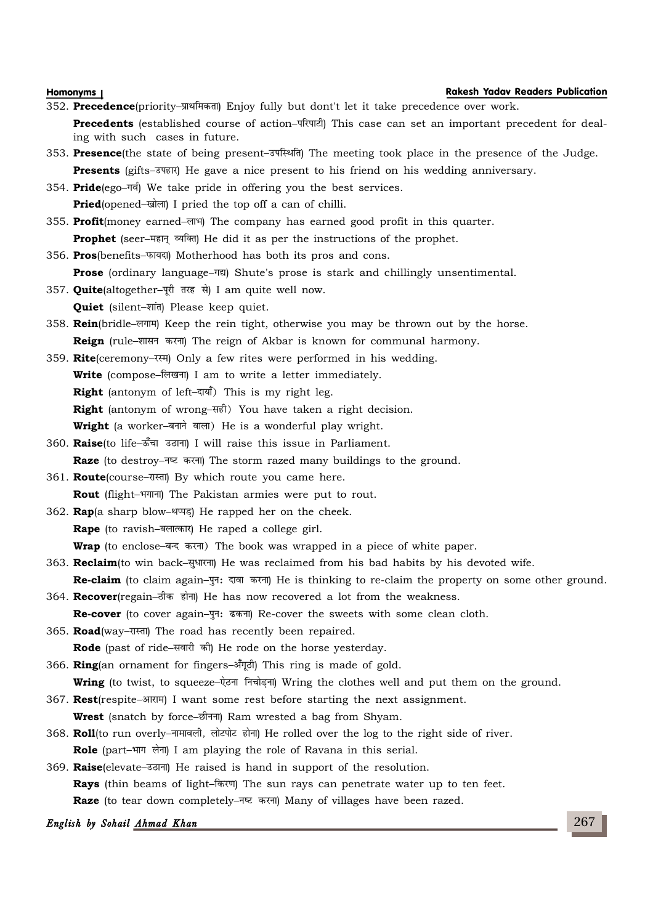- 352. Precedence(priority–प्राथमिकता) Enjoy fully but dont't let it take precedence over work. **Precedents** (established course of action–परिपाटी) This case can set an important precedent for dealing with such cases in future.
- 353. **Presence**(the state of being present–**mi fLFkfr**) The meeting took place in the presence of the Judge. **Presents** (gifts–उपहार) He gave a nice present to his friend on his wedding anniversary.
- 354. **Pride**(ego– $\overline{v}$ ) We take pride in offering you the best services. **Pried**(opened–खोला) I pried the top off a can of chilli.
- 355. **Profit**(money earned–लाभ) The company has earned good profit in this quarter. Prophet (seer–महान् व्यक्ति) He did it as per the instructions of the prophet.
- 356. **Pros**(benefits–फायदा) Motherhood has both its pros and cons. **Prose** (ordinary language–**x|** ) Shute's prose is stark and chillingly unsentimental.
- 357. **Quite**(altogether–पूरी तरह से) I am quite well now. **Quiet** (silent–शांत) Please keep quiet.
- 358. **Rein**(bridle–लगाम) Keep the rein tight, otherwise you may be thrown out by the horse. Reign (rule–शासन करना) The reign of Akbar is known for communal harmony.
- 359. Rite(ceremony-रस्म) Only a few rites were performed in his wedding. **Write** (compose–**fy[ kuk**) I am to write a letter immediately. **Right** (antonym of left–**nk; k¡)** This is my right leg. Right (antonym of wrong–सही) You have taken a right decision. Wright (a worker–बनाने वाला) He is a wonderful play wright.
- 360. **Raise**(to life–ऊँचा उठाना) I will raise this issue in Parliament. Raze (to destroy–नष्ट करना) The storm razed many buildings to the ground.
- 361. **Route**(course–रास्ता) By which route you came here. Rout (flight–भगाना) The Pakistan armies were put to rout.
- 362. **Rap**(a sharp blow–थण्ड) He rapped her on the cheek. Rape (to ravish–बलात्कार) He raped a college girl. Wrap (to enclose–बन्द करना) The book was wrapped in a piece of white paper.
- 363. **Reclaim**(to win back–सुधारना) He was reclaimed from his bad habits by his devoted wife. Re-claim (to claim again–पुन: दावा करना) He is thinking to re-claim the property on some other ground.
- 364. **Recover**(regain–ठीक होना) He has now recovered a lot from the weakness. Re-cover (to cover again–पुन: ढकना) Re-cover the sweets with some clean cloth.
- 365. **Road**(way–रास्ता) The road has recently been repaired. Rode (past of ride–सवारी की) He rode on the horse yesterday.

366. **Ring**(an ornament for fingers–अँगूठी) This ring is made of gold. Wring (to twist, to squeeze–ऐठना निचोड़ना) Wring the clothes well and put them on the ground.

- 367. **Rest**(respite–**vkjke**) I want some rest before starting the next assignment. Wrest (snatch by force–छीनना) Ram wrested a bag from Shyam.
- 368. **Roll**(to run overly–नामावली, लोटपोट होना) He rolled over the log to the right side of river. Role (part–भाग लेना) I am playing the role of Ravana in this serial.
- 369. **Raise**(elevate–**mBkuk**) He raised is hand in support of the resolution. Rays (thin beams of light–किरण) The sun rays can penetrate water up to ten feet. Raze (to tear down completely–नष्ट करना) Many of villages have been razed.

# **English by Sohail Ahmad Khan**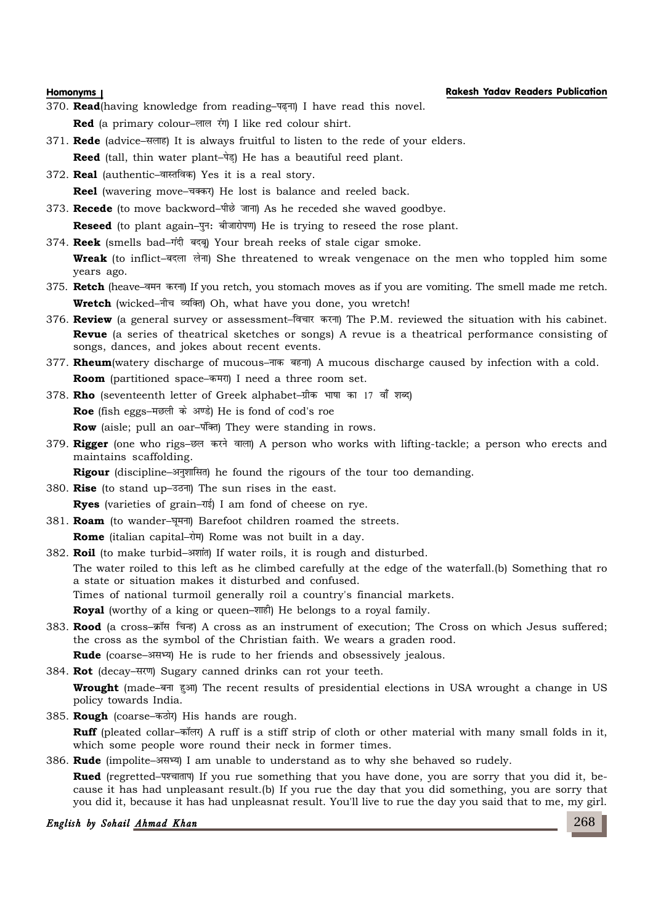- 370. **Read**(having knowledge from reading–पढना) I have read this novel. Red (a primary colour–लाल रंग) I like red colour shirt.
- 371. **Rede** (advice–सलाह) It is always fruitful to listen to the rede of your elders.
	- **Reed** (tall, thin water plant–पेड़) He has a beautiful reed plant.
- 372. Real (authentic–वास्तविक) Yes it is a real story. Reel (wavering move–चक्कर) He lost is balance and reeled back.
- 373. Recede (to move backword-पीछे जाना) As he receded she waved goodbye. Reseed (to plant again–पुन: बीजारोपण) He is trying to reseed the rose plant.
- 374. Reek (smells bad-गंदी बदबू) Your breah reeks of stale cigar smoke. **Wreak** (to inflict–**cnyk ysuk**) She threatened to wreak vengenace on the men who toppled him some years ago.
- 375. Retch (heave–वमन करना) If you retch, you stomach moves as if you are vomiting. The smell made me retch. Wretch (wicked–नीच व्यक्ति) Oh, what have you done, you wretch!
- 376. **Review** (a general survey or assessment–**fopkj djuk**) The P.M. reviewed the situation with his cabinet. **Revue** (a series of theatrical sketches or songs) A revue is a theatrical performance consisting of songs, dances, and jokes about recent events.
- 377. **Rheum**(watery discharge of mucous–नाक बहना) A mucous discharge caused by infection with a cold. Room (partitioned space–कमरा) I need a three room set.
- 378. Rho (seventeenth letter of Greek alphabet-ग्रीक भाषा का 17 वाँ शब्द) Roe (fish eggs-मछली के अण्डे) He is fond of cod's roe

**Row** (aisle; pull an oar–पंक्ति) They were standing in rows.

379. **Rigger** (one who rigs–छल करने वाला) A person who works with lifting-tackle; a person who erects and maintains scaffolding.

Rigour (discipline–अनुशासित) he found the rigours of the tour too demanding.

380. **Rise** (to stand up–**mBuk**) The sun rises in the east.

**Ryes** (varieties of grain–राई) I am fond of cheese on rye.

- 381. **Roam** (to wander–घूमना) Barefoot children roamed the streets.
	- Rome (italian capital–रोम) Rome was not built in a day.

382. **Roil** (to make turbid–अशांत) If water roils, it is rough and disturbed. The water roiled to this left as he climbed carefully at the edge of the waterfall.(b) Something that ro a state or situation makes it disturbed and confused. Times of national turmoil generally roil a country's financial markets. Royal (worthy of a king or queen–शाही) He belongs to a royal family.

383. **Rood** (a cross–क्रॉस चिन्ह) A cross as an instrument of execution; The Cross on which Jesus suffered; the cross as the symbol of the Christian faith. We wears a graden rood.

Rude (coarse–असभ्य) He is rude to her friends and obsessively jealous.

384. Rot (decay–सरण) Sugary canned drinks can rot your teeth.

**Wrought** (made–बना हुआ) The recent results of presidential elections in USA wrought a change in US policy towards India.

- 385. **Rough** (coarse–कठोर) His hands are rough. **Ruff** (pleated collar–**dkWyj**) A ruff is a stiff strip of cloth or other material with many small folds in it, which some people wore round their neck in former times.
- 386. **Rude** (impolite–असभ्य) I am unable to understand as to why she behaved so rudely.

Rued (regretted–पश्चाताप) If you rue something that you have done, you are sorry that you did it, because it has had unpleasant result.(b) If you rue the day that you did something, you are sorry that you did it, because it has had unpleasnat result. You'll live to rue the day you said that to me, my girl.

# **English by Sohail Ahmad Khan**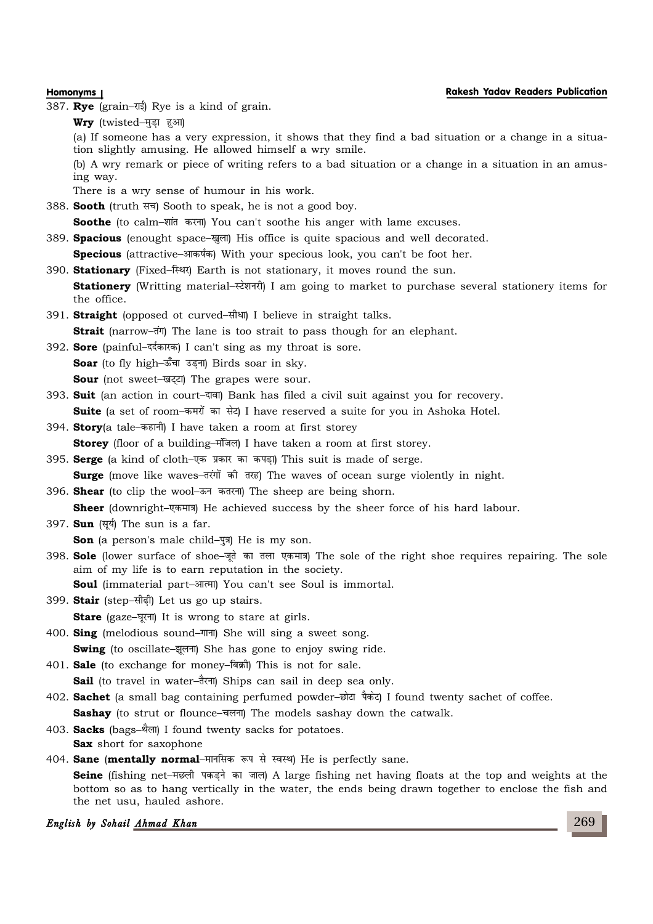387. **Rye** (grain–राई) Rye is a kind of grain.

```
Wry (twisted–मुड़ा हुआ)
```
(a) If someone has a very expression, it shows that they find a bad situation or a change in a situation slightly amusing. He allowed himself a wry smile.

(b) A wry remark or piece of writing refers to a bad situation or a change in a situation in an amusing way.

There is a wry sense of humour in his work.

388. **Sooth** (truth सच) Sooth to speak, he is not a good boy.

Soothe (to calm–शांत करना) You can't soothe his anger with lame excuses.

389. **Spacious** (enought space–**[ kqyk**) His office is quite spacious and well decorated.

**Specious** (attractive–**vkd"kZd**) With your specious look, you can't be foot her.

- 390. **Stationary** (Fixed–स्थिर) Earth is not stationary, it moves round the sun. **Stationery** (Writting material–स्टेशनरी) I am going to market to purchase several stationery items for the office.
- 391. **Straight** (opposed ot curved–सीधा) I believe in straight talks.

**Strait** (narrow–**rax**) The lane is too strait to pass though for an elephant.

392. **Sore** (painful–दर्दकारक) I can't sing as my throat is sore.

**Soar** (to fly high–ऊँचा उड़ना) Birds soar in sky.

**Sour** (not sweet–खट्टा) The grapes were sour.

- 393. **Suit** (an action in court–**nkok**) Bank has filed a civil suit against you for recovery. Suite (a set of room–कमरों का सेट) I have reserved a suite for you in Ashoka Hotel.
- 394. **Story**(a tale–**dgkuh**) I have taken a room at first storey **Storey** (floor of a building–मंजिल) I have taken a room at first storey.
- 395. Serge (a kind of cloth–एक प्रकार का कपड़ा) This suit is made of serge. **Surge** (move like waves–तरंगों की तरह) The waves of ocean surge violently in night.
- 396. **Shear** (to clip the wool–ऊन कतरना) The sheep are being shorn. **Sheer** (downright–एकमात्र) He achieved success by the sheer force of his hard labour.
- 397. **Sun** (सर्व) The sun is a far.

**Son** (a person's male child–पुत्र) He is my son.

398. **Sole** (lower surface of shoe–जूते का तला एकमात्र) The sole of the right shoe requires repairing. The sole aim of my life is to earn reputation in the society.

**Soul** (immaterial part–आत्मा) You can't see Soul is immortal.

- 399. **Stair** (step–सीढ़ी) Let us go up stairs. **Stare** (gaze–घूरना) It is wrong to stare at girls.
- 400. **Sing** (melodious sound–**xkuk**) She will sing a sweet song. **Swing** (to oscillate–झूलना) She has gone to enjoy swing ride.
- 401. **Sale** (to exchange for money–**fcØh**) This is not for sale.

**Sail** (to travel in water–तैरना) Ships can sail in deep sea only.

402. **Sachet** (a small bag containing perfumed powder–छोटा पैकेट) I found twenty sachet of coffee. Sashay (to strut or flounce–चलना) The models sashay down the catwalk.

403. **Sacks** (bags–थैला) I found twenty sacks for potatoes.

**Sax** short for saxophone

404. **Sane (mentally normal**–मानसिक रूप से स्वस्थ) He is perfectly sane.

**Seine** (fishing net–मछली पकड़ने का जाल) A large fishing net having floats at the top and weights at the bottom so as to hang vertically in the water, the ends being drawn together to enclose the fish and the net usu, hauled ashore.

# **English by Sohail Ahmad Khan**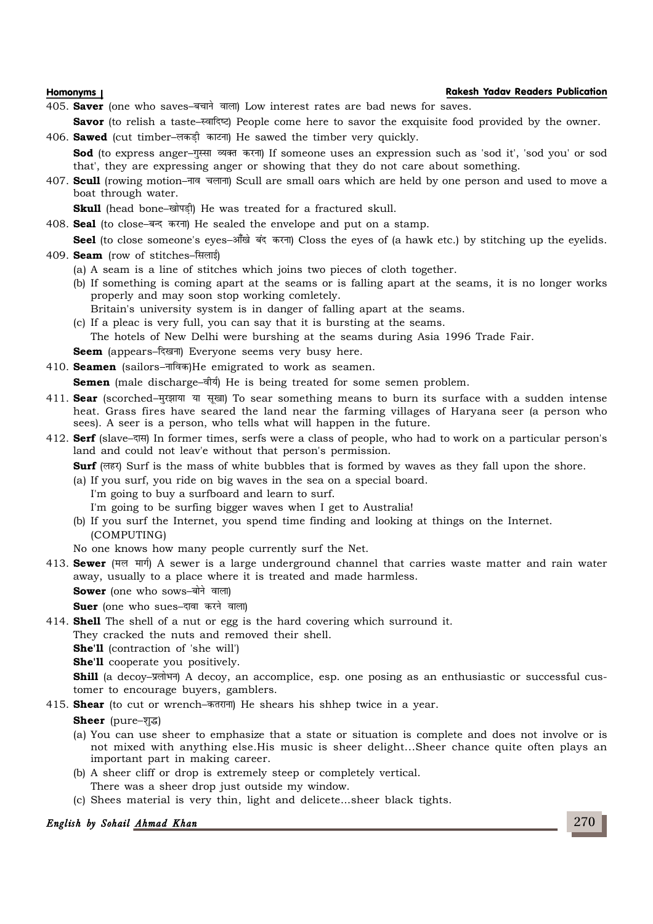- 405. **Saver** (one who saves–**cpkus okyk**) Low interest rates are bad news for saves. **Savor** (to relish a taste–**Lokfn"V**) People come here to savor the exquisite food provided by the owner.
- 406. **Sawed** (cut timber–लकड़ी काटना) He sawed the timber very quickly.

**Sod** (to express anger–गुस्सा व्यक्त करना) If someone uses an expression such as 'sod it', 'sod you' or sod that', they are expressing anger or showing that they do not care about something.

407. Scull (rowing motion-नाव चलाना) Scull are small oars which are held by one person and used to move a boat through water.

Skull (head bone–खोपड़ी) He was treated for a fractured skull.

408. **Seal** (to close–बन्द करना) He sealed the envelope and put on a stamp.

Seel (to close someone's eyes–आँखे बंद करना) Closs the eyes of (a hawk etc.) by stitching up the eyelids.

- 409. **Seam** (row of stitches–सिलाई)
	- (a) A seam is a line of stitches which joins two pieces of cloth together.
	- (b) If something is coming apart at the seams or is falling apart at the seams, it is no longer works properly and may soon stop working comletely.

Britain's university system is in danger of falling apart at the seams.

- (c) If a pleac is very full, you can say that it is bursting at the seams.
	- The hotels of New Delhi were burshing at the seams during Asia 1996 Trade Fair.

**Seem** (appears–दिखना) Everyone seems very busy here.

410. **Seamen** (sailors–**ukfod**)He emigrated to work as seamen.

**Semen** (male discharge–वीर्य) He is being treated for some semen problem.

- 411. Sear (scorched–मुख़ाया या सूखा) To sear something means to burn its surface with a sudden intense heat. Grass fires have seared the land near the farming villages of Haryana seer (a person who sees). A seer is a person, who tells what will happen in the future.
- 412. **Serf** (slave–**nkl** ) In former times, serfs were a class of people, who had to work on a particular person's land and could not leav'e without that person's permission.

**Surf** (**ygj**) Surf is the mass of white bubbles that is formed by waves as they fall upon the shore.

(a) If you surf, you ride on big waves in the sea on a special board.

I'm going to buy a surfboard and learn to surf.

I'm going to be surfing bigger waves when I get to Australia!

(b) If you surf the Internet, you spend time finding and looking at things on the Internet. (COMPUTING)

No one knows how many people currently surf the Net.

413. **Sewer** (मल मार्ग) A sewer is a large underground channel that carries waste matter and rain water away, usually to a place where it is treated and made harmless.

**Sower** (one who sows–बोने वाला)

**Suer** (one who sues–दावा करने वाला)

414. **Shell** The shell of a nut or egg is the hard covering which surround it.

They cracked the nuts and removed their shell.

**She'll** (contraction of 'she will')

**She'll** cooperate you positively.

Shill (a decoy–प्रलोभन) A decoy, an accomplice, esp. one posing as an enthusiastic or successful customer to encourage buyers, gamblers.

415. **Shear** (to cut or wrench–**drjkuk**) He shears his shhep twice in a year.

### **Sheer** (pure–शद्ध)

- (a) You can use sheer to emphasize that a state or situation is complete and does not involve or is not mixed with anything else.His music is sheer delight...Sheer chance quite often plays an important part in making career.
- (b) A sheer cliff or drop is extremely steep or completely vertical. There was a sheer drop just outside my window.
- (c) Shees material is very thin, light and delicete...sheer black tights.

### **English by Sohail Ahmad Khan**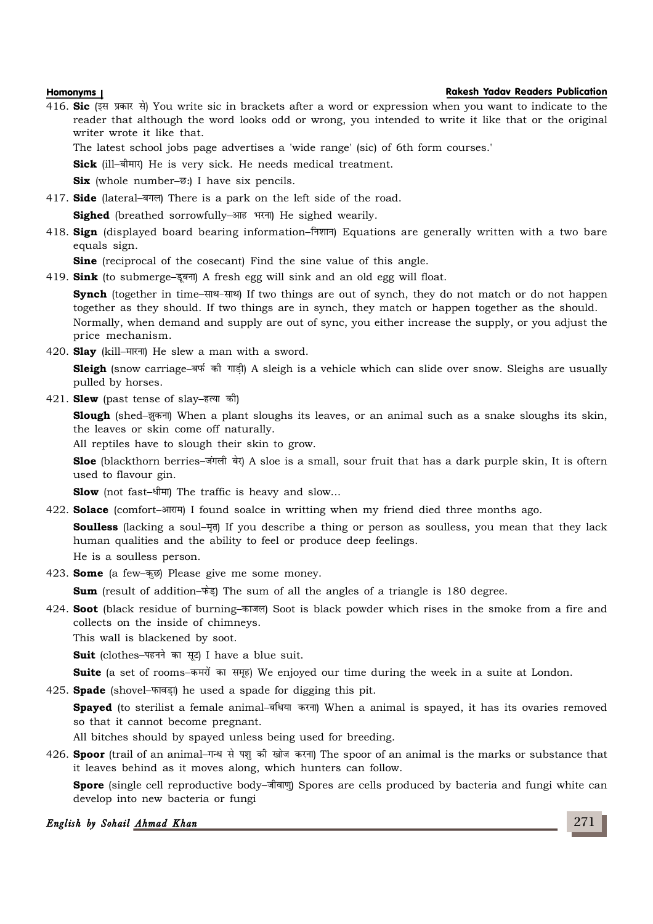416. **Sic** (इस प्रकार से) You write sic in brackets after a word or expression when you want to indicate to the reader that although the word looks odd or wrong, you intended to write it like that or the original writer wrote it like that.

The latest school jobs page advertises a 'wide range' (sic) of 6th form courses.'

**Sick** (ill–**chekj**) He is very sick. He needs medical treatment.

**Six** (whole number– $\vec{v}$ :) I have six pencils.

417. **Side** (lateral–**cxy**) There is a park on the left side of the road.

**Sighed** (breathed sorrowfully–आह भरना) He sighed wearily.

418. **Sign** (displayed board bearing information–निशान) Equations are generally written with a two bare equals sign.

**Sine** (reciprocal of the cosecant) Find the sine value of this angle.

419. **Sink** (to submerge–**Mwcuk**) A fresh egg will sink and an old egg will float.

**Synch** (together in time–साथ–साथ) If two things are out of synch, they do not match or do not happen together as they should. If two things are in synch, they match or happen together as the should. Normally, when demand and supply are out of sync, you either increase the supply, or you adjust the price mechanism.

420. **Slay** (kill–**ekjuk**) He slew a man with a sword.

**Sleigh** (snow carriage–बर्फ को गाड़ी) A sleigh is a vehicle which can slide over snow. Sleighs are usually pulled by horses.

421. **Slew** (past tense of slay–हत्या की)

**Slough** (shed–झूकना) When a plant sloughs its leaves, or an animal such as a snake sloughs its skin, the leaves or skin come off naturally.

All reptiles have to slough their skin to grow.

**Sloe** (blackthorn berries–**t axyh csj**) A sloe is a small, sour fruit that has a dark purple skin, It is oftern used to flavour gin.

**Slow** (not fast–धीमा) The traffic is heavy and slow...

422. **Solace** (comfort–**vkjke**) I found soalce in writting when my friend died three months ago.

**Soulless** (lacking a soul–मृत) If you describe a thing or person as soulless, you mean that they lack human qualities and the ability to feel or produce deep feelings. He is a soulless person.

423. **Some** (a few–**dqN**) Please give me some money.

**Sum** (result of addition– $\vec{r}$ s) The sum of all the angles of a triangle is 180 degree.

424. **Soot** (black residue of burning–काजल) Soot is black powder which rises in the smoke from a fire and collects on the inside of chimneys.

This wall is blackened by soot.

Suit (clothes-पहनने का सूट) I have a blue suit.

**Suite** (a set of rooms–कमरों का समूह) We enjoyed our time during the week in a suite at London.

425. **Spade** (shovel–फावड़ा) he used a spade for digging this pit.

**Spayed** (to sterilist a female animal–**cf/ ; k djuk**) When a animal is spayed, it has its ovaries removed so that it cannot become pregnant.

All bitches should by spayed unless being used for breeding.

426. Spoor (trail of an animal–गन्ध से पशु की खोज करना) The spoor of an animal is the marks or substance that it leaves behind as it moves along, which hunters can follow.

**Spore** (single cell reproductive body–जीवाण) Spores are cells produced by bacteria and fungi white can develop into new bacteria or fungi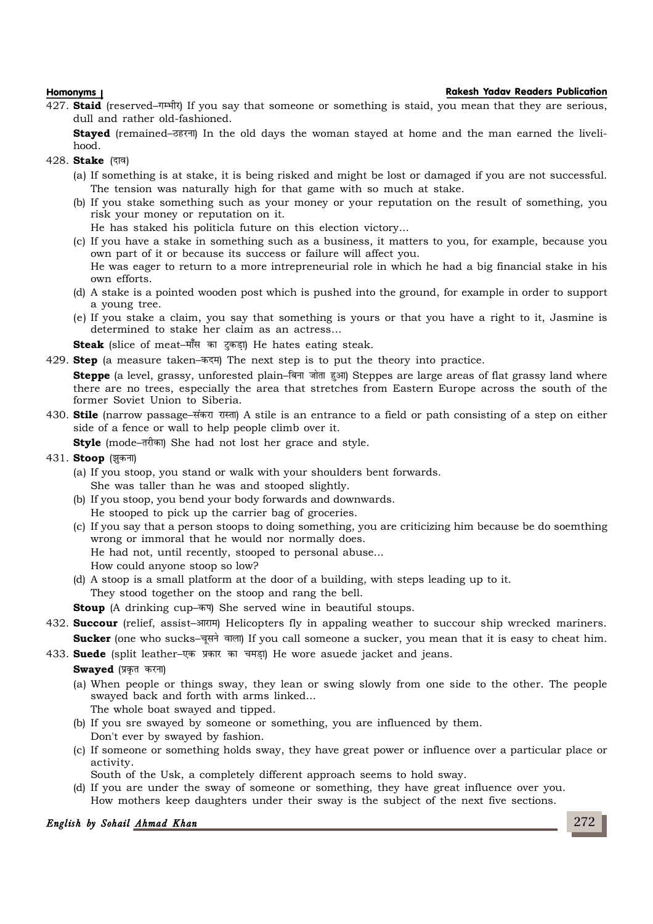427. **Staid** (reserved–गम्भीर) If you say that someone or something is staid, you mean that they are serious, dull and rather old-fashioned.

**Stayed** (remained–**Bgjuk**) In the old days the woman stayed at home and the man earned the livelihood.

- $428.$  **Stake** (दाव)
	- (a) If something is at stake, it is being risked and might be lost or damaged if you are not successful. The tension was naturally high for that game with so much at stake.
	- (b) If you stake something such as your money or your reputation on the result of something, you risk your money or reputation on it.
		- He has staked his politicla future on this election victory...
	- (c) If you have a stake in something such as a business, it matters to you, for example, because you own part of it or because its success or failure will affect you. He was eager to return to a more intrepreneurial role in which he had a big financial stake in his own efforts.
	- (d) A stake is a pointed wooden post which is pushed into the ground, for example in order to support a young tree.
	- (e) If you stake a claim, you say that something is yours or that you have a right to it, Jasmine is determined to stake her claim as an actress...

**Steak** (slice of meat–माँस का टकड़ा) He hates eating steak.

429. **Step** (a measure taken–**dne**) The next step is to put the theory into practice.

**Steppe** (a level, grassy, unforested plain–बिना जोता हुआ) Steppes are large areas of flat grassy land where there are no trees, especially the area that stretches from Eastern Europe across the south of the former Soviet Union to Siberia.

430. **Stile** (narrow passage–संकरा रास्ता) A stile is an entrance to a field or path consisting of a step on either side of a fence or wall to help people climb over it.

**Style** (mode–**rjhdk**) She had not lost her grace and style.

- $431.$  **Stoop** (झकना)
	- (a) If you stoop, you stand or walk with your shoulders bent forwards. She was taller than he was and stooped slightly.
	- (b) If you stoop, you bend your body forwards and downwards. He stooped to pick up the carrier bag of groceries.
	- (c) If you say that a person stoops to doing something, you are criticizing him because be do soemthing wrong or immoral that he would nor normally does.

He had not, until recently, stooped to personal abuse...

- How could anyone stoop so low?
- (d) A stoop is a small platform at the door of a building, with steps leading up to it. They stood together on the stoop and rang the bell.

**Stoup** (A drinking cup–**di** ) She served wine in beautiful stoups.

432. **Succour** (relief, assist–**vkjke**) Helicopters fly in appaling weather to succour ship wrecked mariners. **Sucker** (one who sucks–चूसने वाला) If you call someone a sucker, you mean that it is easy to cheat him.

433. Suede (split leather–एक प्रकार का चमड़ा) He wore asuede jacket and jeans.

### **Swaved** (प्रकृत करना)

(a) When people or things sway, they lean or swing slowly from one side to the other. The people swayed back and forth with arms linked...

The whole boat swayed and tipped.

- (b) If you sre swayed by someone or something, you are influenced by them. Don't ever by swayed by fashion.
- (c) If someone or something holds sway, they have great power or influence over a particular place or activity.
- South of the Usk, a completely different approach seems to hold sway.
- (d) If you are under the sway of someone or something, they have great influence over you. How mothers keep daughters under their sway is the subject of the next five sections.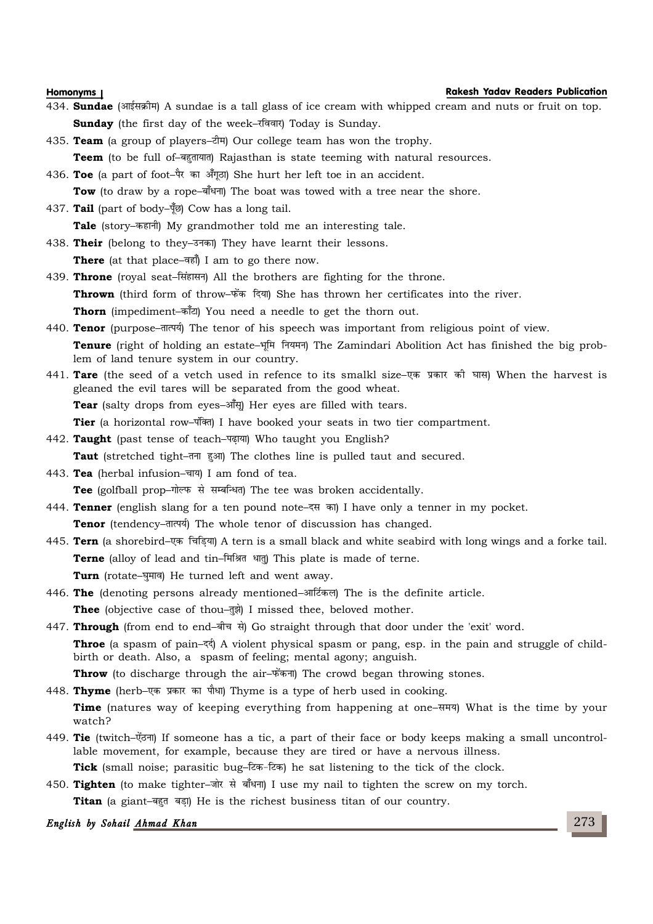- 434. **Sundae** (आईसक्रीम) A sundae is a tall glass of ice cream with whipped cream and nuts or fruit on top. **Sunday** (the first day of the week–**jfookj**) Today is Sunday.
- 435. **Team** (a group of players–**Vhe**) Our college team has won the trophy. Teem (to be full of–बहुतायात) Rajasthan is state teeming with natural resources.
- 436. Toe (a part of foot–पैर का अँगूठा) She hurt her left toe in an accident. **Tow** (to draw by a rope–बाँधना) The boat was towed with a tree near the shore.
- 437. **Tail** (part of body–पूँछ) Cow has a long tail. Tale (story–कहानी) My grandmother told me an interesting tale.
- 438. **Their** (belong to they–**mudk**) They have learnt their lessons. **There** (at that place–**ogk¡**) I am to go there now.
- 439. **Throne** (royal seat–सिंहासन) All the brothers are fighting for the throne. Thrown (third form of throw–फेंक दिया) She has thrown her certificates into the river. Thorn (impediment–काँटा) You need a needle to get the thorn out.
- 440. **Tenor** (purpose–तात्पर्य) The tenor of his speech was important from religious point of view. **Tenure** (right of holding an estate–भूमि नियमन) The Zamindari Abolition Act has finished the big problem of land tenure system in our country.
- 441. **Tare** (the seed of a vetch used in refence to its smalkl size–एक प्रकार की घास) When the harvest is gleaned the evil tares will be separated from the good wheat. Tear (salty drops from eyes–आँसू) Her eyes are filled with tears. **Tier** (a horizontal row–पंक्ति) I have booked your seats in two tier compartment.
- 442. **Taught** (past tense of teach–पढ़ाया) Who taught you English? Taut (stretched tight–तना हुआ) The clothes line is pulled taut and secured.
- 443. **Tea** (herbal infusion–**pk;** ) I am fond of tea. **Tee** (golfball prop–गोल्फ से सम्बन्धित) The tee was broken accidentally.
- 444. **Tenner** (english slang for a ten pound note–**nl dk**) I have only a tenner in my pocket. Tenor (tendency–तात्पर्य) The whole tenor of discussion has changed.
- 445. **Tern** (a shorebird–एक चिडिया) A tern is a small black and white seabird with long wings and a forke tail. Terne (alloy of lead and tin–मिश्रित धातु) This plate is made of terne. Turn (rotate–घुमाव) He turned left and went away.
- 446. **The** (denoting persons already mentioned–आर्टिकल) The is the definite article. Thee (objective case of thou–तुझे) I missed thee, beloved mother.
- 447. **Through** (from end to end–बीच से) Go straight through that door under the 'exit' word. **Throe** (a spasm of pain– $\overline{\tau}$ ) A violent physical spasm or pang, esp. in the pain and struggle of childbirth or death. Also, a spasm of feeling; mental agony; anguish. Throw (to discharge through the air–फेंकना) The crowd began throwing stones.
- 448. Thyme (herb-एक प्रकार का पौधा) Thyme is a type of herb used in cooking.

**Time** (natures way of keeping everything from happening at one–समय) What is the time by your watch?

- 449. **Tie** (twitch–एँठना) If someone has a tic, a part of their face or body keeps making a small uncontrollable movement, for example, because they are tired or have a nervous illness.
- **Tick** (small noise; parasitic bug–टिक–टिक) he sat listening to the tick of the clock.
- 450. **Tighten** (to make tighter–जोर से बाँधना) I use my nail to tighten the screw on my torch.

Titan (a giant–बहुत बड़ा) He is the richest business titan of our country.

### **English by Sohail Ahmad Khan**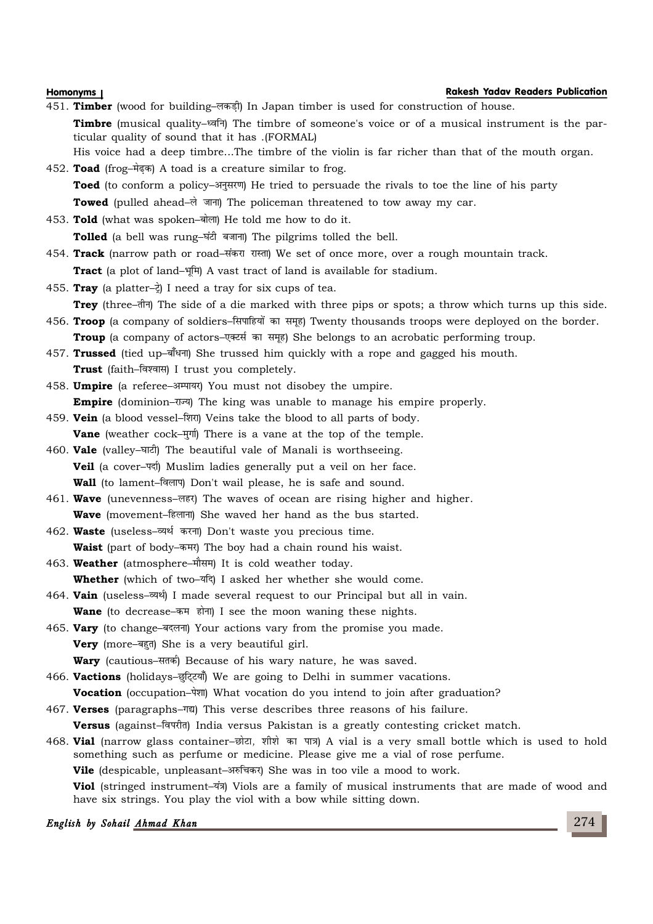- 451. Timber (wood for building-लकड़ी) In Japan timber is used for construction of house. **Timbre** (musical quality–**èofu**) The timbre of someone's voice or of a musical instrument is the particular quality of sound that it has .(FORMAL) His voice had a deep timbre...The timbre of the violin is far richer than that of the mouth organ.
- 452. **Toad** (frog–मेढ़क) A toad is a creature similar to frog. Toed (to conform a policy–अनुसरण) He tried to persuade the rivals to toe the line of his party Towed (pulled ahead–ले जाना) The policeman threatened to tow away my car.
- 453. **Told** (what was spoken–**cksyk**) He told me how to do it.

Tolled (a bell was rung–घंटी बजाना) The pilgrims tolled the bell.

- 454. Track (narrow path or road–संकरा रास्ता) We set of once more, over a rough mountain track. Tract (a plot of land–भूमि) A vast tract of land is available for stadium.
- 455. **Tray** (a platter- $\frac{3}{2}$ ) I need a tray for six cups of tea.
- **Trey** (three–तीन) The side of a die marked with three pips or spots; a throw which turns up this side. 456. **Troop** (a company of soldiers–सिपाहियों का समूह) Twenty thousands troops were deployed on the border.

Troup (a company of actors–एक्टर्स का समूह) She belongs to an acrobatic performing troup.

- 457. **Trussed** (tied up–बाँधना) She trussed him quickly with a rope and gagged his mouth. **Trust** (faith–विश्वास) I trust you completely.
- 458. **Umpire** (a referee–अम्पायर) You must not disobey the umpire. **Empire** (dominion–**jkT;** ) The king was unable to manage his empire properly.
- 459. Vein (a blood vessel–शिरा) Veins take the blood to all parts of body. **Vane** (weather cock–मुर्गा) There is a vane at the top of the temple.
- 460. Vale (valley–घाटी) The beautiful vale of Manali is worthseeing. **Veil** (a cover–पद्मी Muslim ladies generally put a veil on her face. **Wall** (to lament–**foyki** ) Don't wail please, he is safe and sound.
- 461. **Wave** (unevenness–**ygj**) The waves of ocean are rising higher and higher. **Wave** (movement–**fgykuk**) She waved her hand as the bus started.
- 462. Waste (useless–व्यर्थ करना) Don't waste you precious time. **Waist** (part of body–**dej**) The boy had a chain round his waist.
- 463. **Weather** (atmosphere–मौसम) It is cold weather today.
- **Whether** (which of two–यदि) I asked her whether she would come. 464. Vain (useless–व्यर्थ) I made several request to our Principal but all in vain.
- Wane (to decrease–कम होना) I see the moon waning these nights.
- 465. **Vary** (to change–**cnyuk**) Your actions vary from the promise you made. **Very** (more–**cgqr**) She is a very beautiful girl. Wary (cautious–सतर्क) Because of his wary nature, he was saved.
- 466. Vactions (holidays–छूट्टियाँ) We are going to Delhi in summer vacations.
- **Vocation** (occupation–पेशा) What vocation do you intend to join after graduation?
- 467. **Verses** (paragraphs–**x|** ) This verse describes three reasons of his failure.

**Versus** (against–**foi jhr**) India versus Pakistan is a greatly contesting cricket match.

468. **Vial** (narrow glass container–छोटा, शीशे का पात्र) A vial is a very small bottle which is used to hold something such as perfume or medicine. Please give me a vial of rose perfume. **Vile** (despicable, unpleasant–**v#fpdj**) She was in too vile a mood to work. **Viol** (stringed instrument–<sup> $\vec{a}$ </sup>) Viols are a family of musical instruments that are made of wood and

have six strings. You play the viol with a bow while sitting down.

# **English by Sohail Ahmad Khan**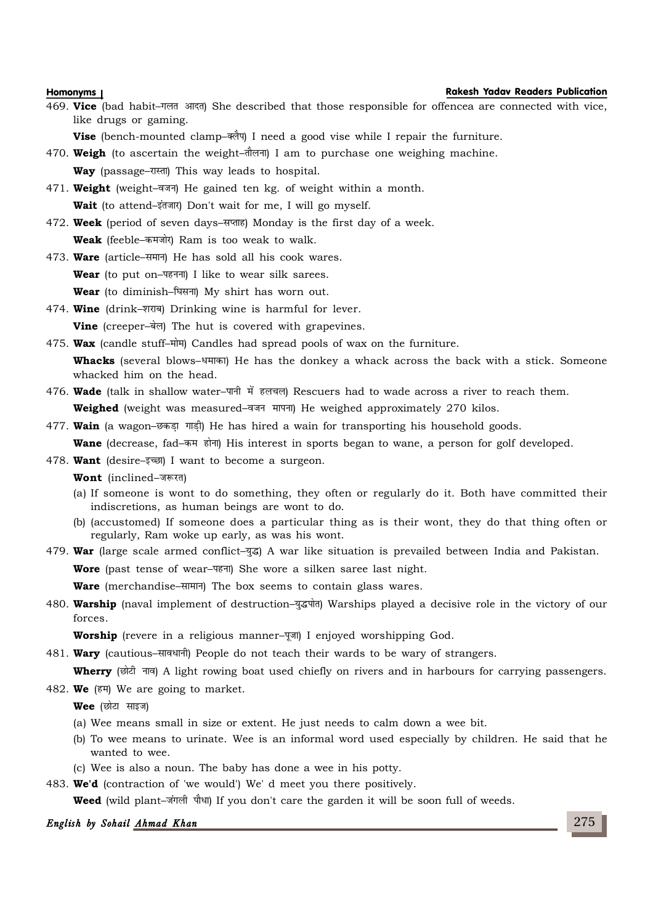469. **Vice** (bad habit–**xyr vknr**) She described that those responsible for offencea are connected with vice, like drugs or gaming.

**Vise** (bench-mounted clamp–क्लैप) I need a good vise while I repair the furniture.

- 470. **Weigh** (to ascertain the weight–तौलना) I am to purchase one weighing machine. Way (passage–रास्ता) This way leads to hospital.
- 471. **Weight** (weight–**ot u**) He gained ten kg. of weight within a month. Wait (to attend–इंतजार) Don't wait for me, I will go myself.
- 472. Week (period of seven days–सप्ताह) Monday is the first day of a week. **Weak** (feeble–**det ksj**) Ram is too weak to walk.
- 473. Ware (article–समान) He has sold all his cook wares. Wear (to put on–पहनना) I like to wear silk sarees. **Wear** (to diminish–घिसना) My shirt has worn out.
- 474. **Wine** (drink–शराब) Drinking wine is harmful for lever. **Vine** (creeper–बेल) The hut is covered with grapevines.
- 475. **Wax** (candle stuff–**ekse**) Candles had spread pools of wax on the furniture.

**Whacks** (several blows–**/ ekdk**) He has the donkey a whack across the back with a stick. Someone whacked him on the head.

- 476. Wade (talk in shallow water–पानी में हलचल) Rescuers had to wade across a river to reach them. **Weighed** (weight was measured–वजन मापना) He weighed approximately 270 kilos.
- 477. Wain (a wagon-छकड़ा गाड़ी) He has hired a wain for transporting his household goods. Wane (decrease, fad-कम होना) His interest in sports began to wane, a person for golf developed.
- 478. Want (desire–इच्छा) I want to become a surgeon.
	- $Wont$  (inclined–जरूरत)
	- (a) If someone is wont to do something, they often or regularly do it. Both have committed their indiscretions, as human beings are wont to do.
	- (b) (accustomed) If someone does a particular thing as is their wont, they do that thing often or regularly, Ram woke up early, as was his wont.
- 479. **War** (large scale armed conflict–**; q¼**) A war like situation is prevailed between India and Pakistan. **Wore** (past tense of wear–पहना) She wore a silken saree last night. Ware (merchandise–सामान) The box seems to contain glass wares.
- 480. **Warship** (naval implement of destruction–**; q¼i ksr**) Warships played a decisive role in the victory of our forces.

Worship (revere in a religious manner–पूजा) I enjoyed worshipping God.

- 481. Wary (cautious–सावधानी) People do not teach their wards to be wary of strangers.
- **Wherry** (छोटी नाव) A light rowing boat used chiefly on rivers and in harbours for carrying passengers.
- 482. **We** (**ge**) We are going to market.

**Wee** (छोटा साइज)

- (a) Wee means small in size or extent. He just needs to calm down a wee bit.
- (b) To wee means to urinate. Wee is an informal word used especially by children. He said that he wanted to wee.
- (c) Wee is also a noun. The baby has done a wee in his potty.
- 483. **We'd** (contraction of 'we would') We' d meet you there positively.

**Weed** (wild plant–जंगली पौधा) If you don't care the garden it will be soon full of weeds.